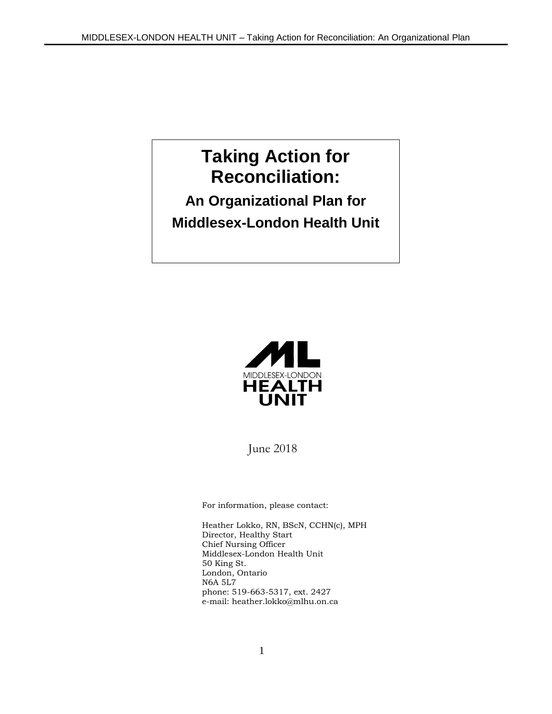# **Taking Action for Reconciliation:**

## **An Organizational Plan for Middlesex-London Health Unit**



June 2018

For information, please contact:

Heather Lokko, RN, BScN, CCHN(c), MPH Director, Healthy Start Chief Nursing Officer Middlesex-London Health Unit 50 King St. London, Ontario N6A 5L7 phone: 519-663-5317, ext. 2427 e-mail: heather.lokko@mlhu.on.ca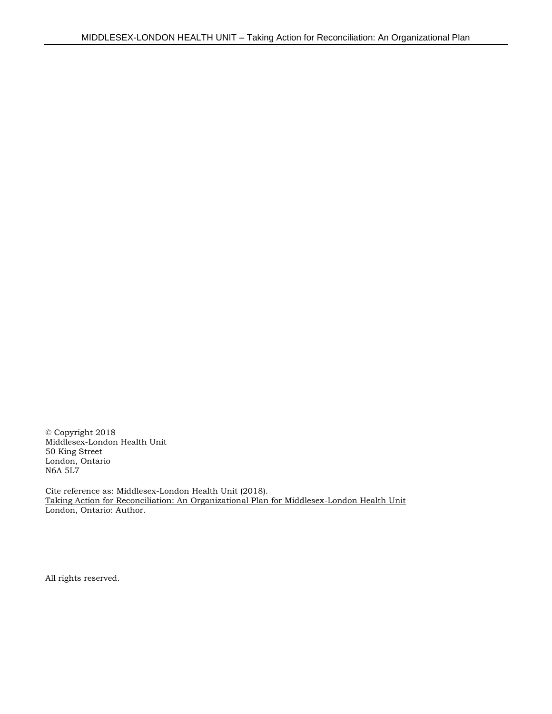© Copyright 2018 Middlesex-London Health Unit 50 King Street London, Ontario N6A 5L7

Cite reference as: Middlesex-London Health Unit (2018). Taking Action for Reconciliation: An Organizational Plan for Middlesex-London Health Unit London, Ontario: Author.

All rights reserved.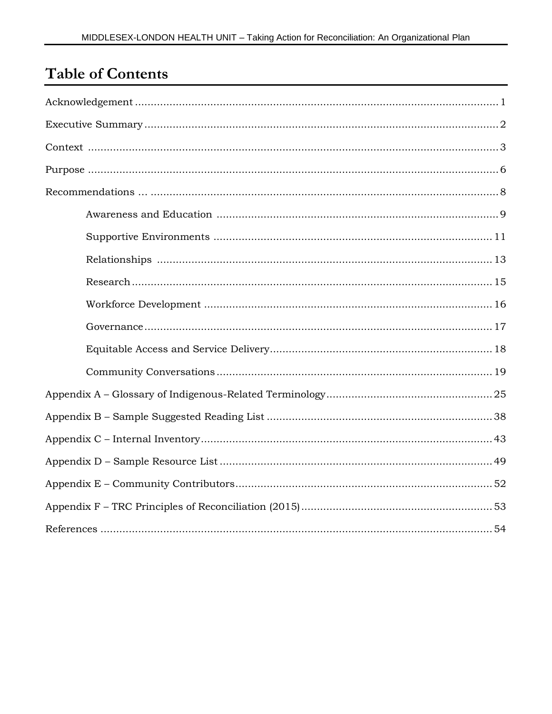## **Table of Contents**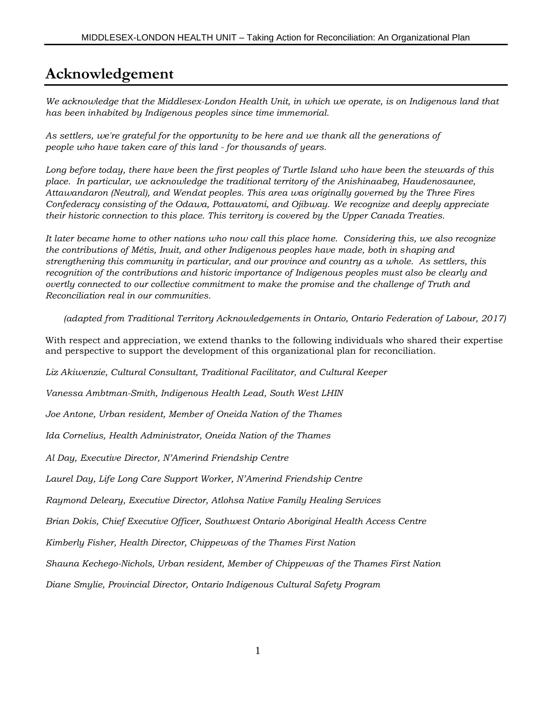### **Acknowledgement**

*We acknowledge that the Middlesex-London Health Unit, in which we operate, is on Indigenous land that has been inhabited by Indigenous peoples since time immemorial.*

*As settlers, we're grateful for the opportunity to be here and we thank all the generations of people who have taken care of this land - for thousands of years.*

*Long before today, there have been the first peoples of Turtle Island who have been the stewards of this place. In particular, we acknowledge the traditional territory of the Anishinaabeg, Haudenosaunee, Attawandaron (Neutral), and Wendat peoples. This area was originally governed by the Three Fires Confederacy consisting of the Odawa, Pottawatomi, and Ojibway. We recognize and deeply appreciate their historic connection to this place. This territory is covered by the Upper Canada Treaties.*

*It later became home to other nations who now call this place home. Considering this, we also recognize the contributions of Métis, Inuit, and other Indigenous peoples have made, both in shaping and strengthening this community in particular, and our province and country as a whole. As settlers, this recognition of the contributions and historic importance of Indigenous peoples must also be clearly and overtly connected to our collective commitment to make the promise and the challenge of Truth and Reconciliation real in our communities.* 

*(adapted from Traditional Territory Acknowledgements in Ontario, Ontario Federation of Labour, 2017)* 

With respect and appreciation, we extend thanks to the following individuals who shared their expertise and perspective to support the development of this organizational plan for reconciliation.

*Liz Akiwenzie, Cultural Consultant, Traditional Facilitator, and Cultural Keeper*

*Vanessa Ambtman-Smith, Indigenous Health Lead, South West LHIN*

*Joe Antone, Urban resident, Member of Oneida Nation of the Thames*

*Ida Cornelius, Health Administrator, Oneida Nation of the Thames*

*Al Day, Executive Director, N'Amerind Friendship Centre*

*Laurel Day, Life Long Care Support Worker, N'Amerind Friendship Centre*

*Raymond Deleary, Executive Director, Atlohsa Native Family Healing Services*

*Brian Dokis, Chief Executive Officer, Southwest Ontario Aboriginal Health Access Centre*

*Kimberly Fisher, Health Director, Chippewas of the Thames First Nation*

*Shauna Kechego-Nichols, Urban resident, Member of Chippewas of the Thames First Nation*

*Diane Smylie, Provincial Director, Ontario Indigenous Cultural Safety Program*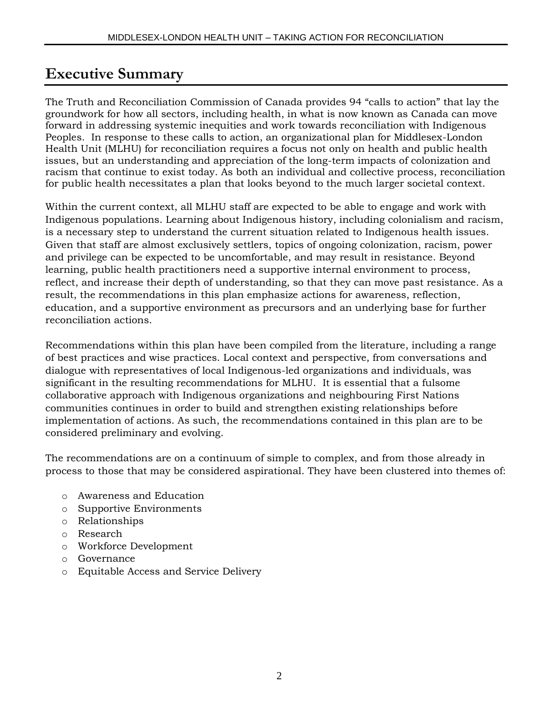## **Executive Summary**

The Truth and Reconciliation Commission of Canada provides 94 "calls to action" that lay the groundwork for how all sectors, including health, in what is now known as Canada can move forward in addressing systemic inequities and work towards reconciliation with Indigenous Peoples. In response to these calls to action, an organizational plan for Middlesex-London Health Unit (MLHU) for reconciliation requires a focus not only on health and public health issues, but an understanding and appreciation of the long-term impacts of colonization and racism that continue to exist today. As both an individual and collective process, reconciliation for public health necessitates a plan that looks beyond to the much larger societal context.

Within the current context, all MLHU staff are expected to be able to engage and work with Indigenous populations. Learning about Indigenous history, including colonialism and racism, is a necessary step to understand the current situation related to Indigenous health issues. Given that staff are almost exclusively settlers, topics of ongoing colonization, racism, power and privilege can be expected to be uncomfortable, and may result in resistance. Beyond learning, public health practitioners need a supportive internal environment to process, reflect, and increase their depth of understanding, so that they can move past resistance. As a result, the recommendations in this plan emphasize actions for awareness, reflection, education, and a supportive environment as precursors and an underlying base for further reconciliation actions.

Recommendations within this plan have been compiled from the literature, including a range of best practices and wise practices. Local context and perspective, from conversations and dialogue with representatives of local Indigenous-led organizations and individuals, was significant in the resulting recommendations for MLHU. It is essential that a fulsome collaborative approach with Indigenous organizations and neighbouring First Nations communities continues in order to build and strengthen existing relationships before implementation of actions. As such, the recommendations contained in this plan are to be considered preliminary and evolving.

The recommendations are on a continuum of simple to complex, and from those already in process to those that may be considered aspirational. They have been clustered into themes of:

- o Awareness and Education
- o Supportive Environments
- o Relationships
- o Research
- o Workforce Development
- o Governance
- o Equitable Access and Service Delivery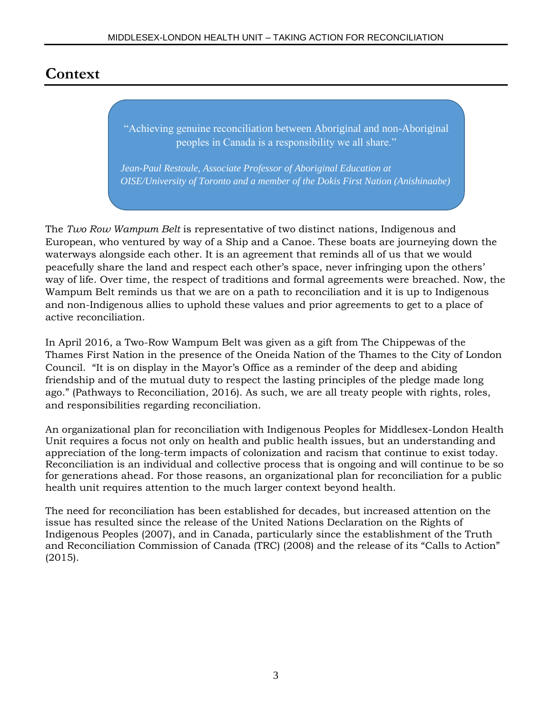## **Context**

"Achieving genuine reconciliation between Aboriginal and non-Aboriginal peoples in Canada is a responsibility we all share."

*Jean-Paul Restoule, Associate Professor of Aboriginal Education at OISE/University of Toronto and a member of the Dokis First Nation (Anishinaabe)*

The *Two Row Wampum Belt* is representative of two distinct nations, Indigenous and European, who ventured by way of a Ship and a Canoe. These boats are journeying down the waterways alongside each other. It is an agreement that reminds all of us that we would peacefully share the land and respect each other's space, never infringing upon the others' way of life. Over time, the respect of traditions and formal agreements were breached. Now, the Wampum Belt reminds us that we are on a path to reconciliation and it is up to Indigenous and non-Indigenous allies to uphold these values and prior agreements to get to a place of active reconciliation.

In April 2016, a Two-Row Wampum Belt was given as a gift from The Chippewas of the Thames First Nation in the presence of the Oneida Nation of the Thames to the City of London Council. "It is on display in the Mayor's Office as a reminder of the deep and abiding friendship and of the mutual duty to respect the lasting principles of the pledge made long ago." (Pathways to Reconciliation, 2016). As such, we are all treaty people with rights, roles, and responsibilities regarding reconciliation.

An organizational plan for reconciliation with Indigenous Peoples for Middlesex-London Health Unit requires a focus not only on health and public health issues, but an understanding and appreciation of the long-term impacts of colonization and racism that continue to exist today. Reconciliation is an individual and collective process that is ongoing and will continue to be so for generations ahead. For those reasons, an organizational plan for reconciliation for a public health unit requires attention to the much larger context beyond health.

The need for reconciliation has been established for decades, but increased attention on the issue has resulted since the release of the United Nations Declaration on the Rights of Indigenous Peoples (2007), and in Canada, particularly since the establishment of the Truth and Reconciliation Commission of Canada (TRC) (2008) and the release of its "Calls to Action" (2015).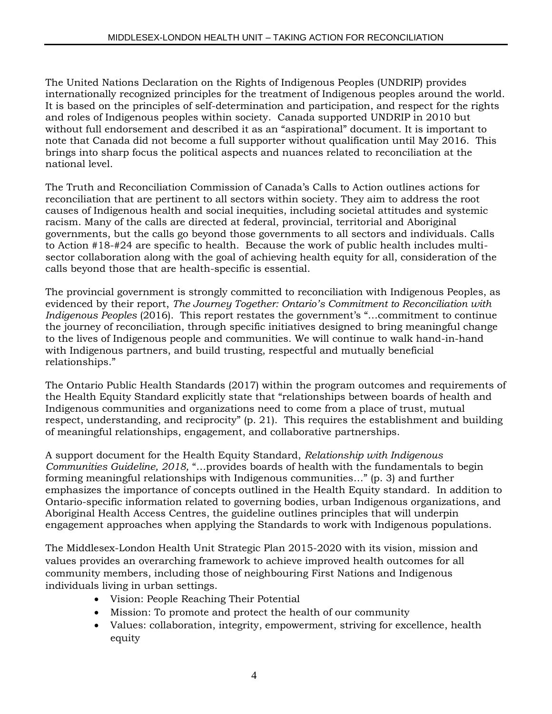The United Nations Declaration on the Rights of Indigenous Peoples (UNDRIP) provides internationally recognized principles for the treatment of Indigenous peoples around the world. It is based on the principles of self-determination and participation, and respect for the rights and roles of Indigenous peoples within society. Canada supported UNDRIP in 2010 but without full endorsement and described it as an "aspirational" document. It is important to note that Canada did not become a full supporter without qualification until May 2016. This brings into sharp focus the political aspects and nuances related to reconciliation at the national level.

The Truth and Reconciliation Commission of Canada's Calls to Action outlines actions for reconciliation that are pertinent to all sectors within society. They aim to address the root causes of Indigenous health and social inequities, including societal attitudes and systemic racism. Many of the calls are directed at federal, provincial, territorial and Aboriginal governments, but the calls go beyond those governments to all sectors and individuals. Calls to Action #18-#24 are specific to health. Because the work of public health includes multisector collaboration along with the goal of achieving health equity for all, consideration of the calls beyond those that are health-specific is essential.

The provincial government is strongly committed to reconciliation with Indigenous Peoples, as evidenced by their report, *The Journey Together: Ontario's Commitment to Reconciliation with Indigenous Peoples* (2016). This report restates the government's "…commitment to continue the journey of reconciliation, through specific initiatives designed to bring meaningful change to the lives of Indigenous people and communities. We will continue to walk hand-in-hand with Indigenous partners, and build trusting, respectful and mutually beneficial relationships."

The Ontario Public Health Standards (2017) within the program outcomes and requirements of the Health Equity Standard explicitly state that "relationships between boards of health and Indigenous communities and organizations need to come from a place of trust, mutual respect, understanding, and reciprocity" (p. 21). This requires the establishment and building of meaningful relationships, engagement, and collaborative partnerships.

A support document for the Health Equity Standard, *Relationship with Indigenous Communities Guideline, 2018,* "…provides boards of health with the fundamentals to begin forming meaningful relationships with Indigenous communities…" (p. 3) and further emphasizes the importance of concepts outlined in the Health Equity standard. In addition to Ontario-specific information related to governing bodies, urban Indigenous organizations, and Aboriginal Health Access Centres, the guideline outlines principles that will underpin engagement approaches when applying the Standards to work with Indigenous populations.

The Middlesex-London Health Unit Strategic Plan 2015-2020 with its vision, mission and values provides an overarching framework to achieve improved health outcomes for all community members, including those of neighbouring First Nations and Indigenous individuals living in urban settings.

- Vision: People Reaching Their Potential
- Mission: To promote and protect the health of our community
- Values: collaboration, integrity, empowerment, striving for excellence, health equity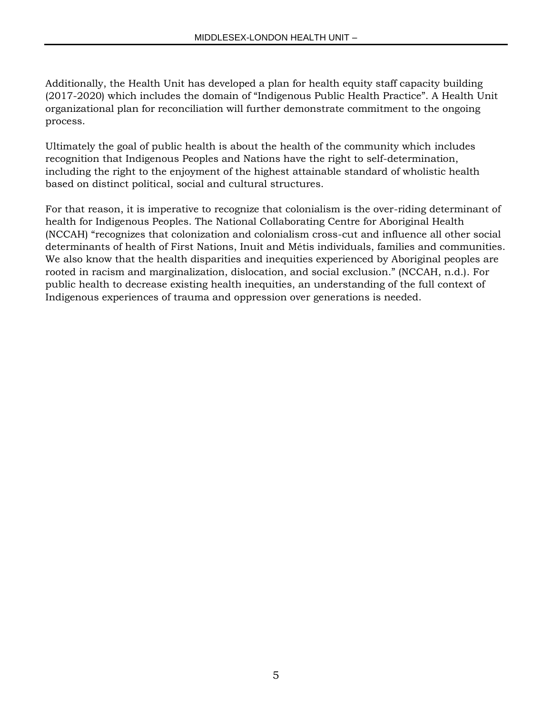Additionally, the Health Unit has developed a plan for health equity staff capacity building (2017-2020) which includes the domain of "Indigenous Public Health Practice". A Health Unit organizational plan for reconciliation will further demonstrate commitment to the ongoing process.

Ultimately the goal of public health is about the health of the community which includes recognition that Indigenous Peoples and Nations have the right to self-determination, including the right to the enjoyment of the highest attainable standard of wholistic health based on distinct political, social and cultural structures.

For that reason, it is imperative to recognize that colonialism is the over-riding determinant of health for Indigenous Peoples. The National Collaborating Centre for Aboriginal Health (NCCAH) "recognizes that colonization and colonialism cross-cut and influence all other social determinants of health of First Nations, Inuit and Métis individuals, families and communities. We also know that the health disparities and inequities experienced by Aboriginal peoples are rooted in racism and marginalization, dislocation, and social exclusion." (NCCAH, n.d.). For public health to decrease existing health inequities, an understanding of the full context of Indigenous experiences of trauma and oppression over generations is needed.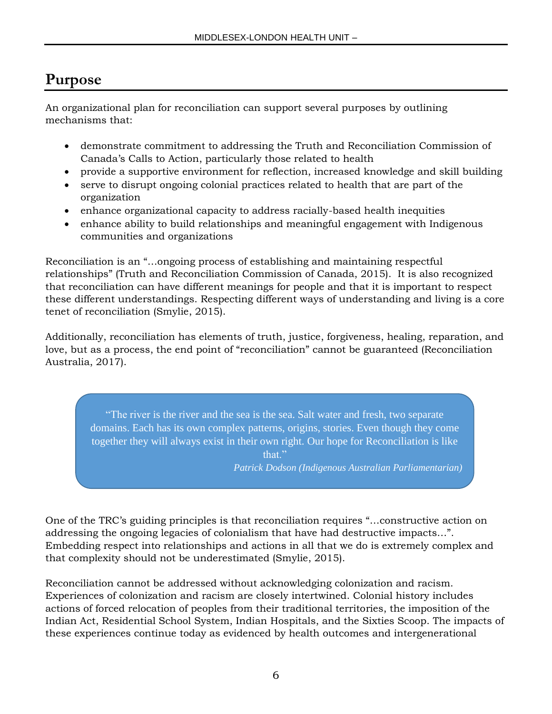## **Purpose**

An organizational plan for reconciliation can support several purposes by outlining mechanisms that:

- demonstrate commitment to addressing the Truth and Reconciliation Commission of Canada's Calls to Action, particularly those related to health
- provide a supportive environment for reflection, increased knowledge and skill building
- serve to disrupt ongoing colonial practices related to health that are part of the organization
- enhance organizational capacity to address racially-based health inequities
- enhance ability to build relationships and meaningful engagement with Indigenous communities and organizations

Reconciliation is an "…ongoing process of establishing and maintaining respectful relationships" (Truth and Reconciliation Commission of Canada, 2015). It is also recognized that reconciliation can have different meanings for people and that it is important to respect these different understandings. Respecting different ways of understanding and living is a core tenet of reconciliation (Smylie, 2015).

Additionally, reconciliation has elements of truth, justice, forgiveness, healing, reparation, and love, but as a process, the end point of "reconciliation" cannot be guaranteed (Reconciliation Australia, 2017).

"The river is the river and the sea is the sea. Salt water and fresh, two separate domains. Each has its own complex patterns, origins, stories. Even though they come together they will always exist in their own right. Our hope for Reconciliation is like

that."

*Patrick Dodson (Indigenous Australian Parliamentarian)*

One of the TRC's guiding principles is that reconciliation requires "…constructive action on addressing the ongoing legacies of colonialism that have had destructive impacts…". Embedding respect into relationships and actions in all that we do is extremely complex and that complexity should not be underestimated (Smylie, 2015).

Reconciliation cannot be addressed without acknowledging colonization and racism. Experiences of colonization and racism are closely intertwined. Colonial history includes actions of forced relocation of peoples from their traditional territories, the imposition of the Indian Act, Residential School System, Indian Hospitals, and the Sixties Scoop. The impacts of these experiences continue today as evidenced by health outcomes and intergenerational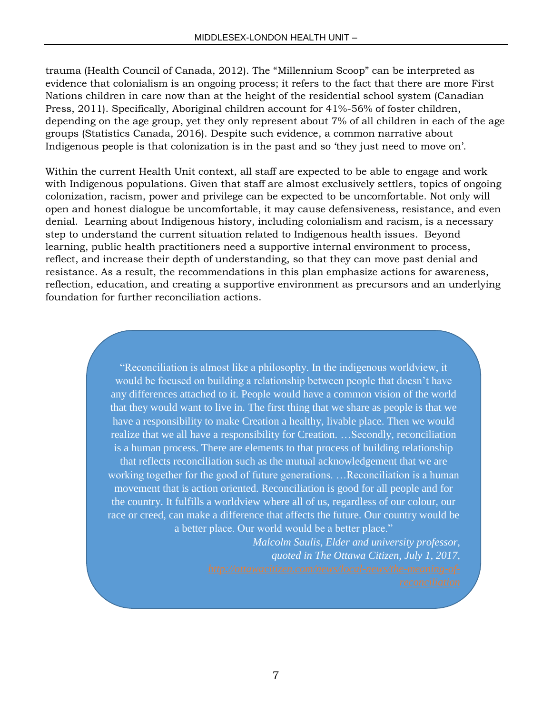trauma (Health Council of Canada, 2012). The "Millennium Scoop" can be interpreted as evidence that colonialism is an ongoing process; it refers to the fact that there are more First Nations children in care now than at the height of the residential school system (Canadian Press, 2011). Specifically, Aboriginal children account for 41%-56% of foster children, depending on the age group, yet they only represent about 7% of all children in each of the age groups (Statistics Canada, 2016). Despite such evidence, a common narrative about Indigenous people is that colonization is in the past and so 'they just need to move on'.

Within the current Health Unit context, all staff are expected to be able to engage and work with Indigenous populations. Given that staff are almost exclusively settlers, topics of ongoing colonization, racism, power and privilege can be expected to be uncomfortable. Not only will open and honest dialogue be uncomfortable, it may cause defensiveness, resistance, and even denial. Learning about Indigenous history, including colonialism and racism, is a necessary step to understand the current situation related to Indigenous health issues. Beyond learning, public health practitioners need a supportive internal environment to process, reflect, and increase their depth of understanding, so that they can move past denial and resistance. As a result, the recommendations in this plan emphasize actions for awareness, reflection, education, and creating a supportive environment as precursors and an underlying foundation for further reconciliation actions.

> "Reconciliation is almost like a philosophy. In the indigenous worldview, it would be focused on building a relationship between people that doesn't have any differences attached to it. People would have a common vision of the world that they would want to live in. The first thing that we share as people is that we have a responsibility to make Creation a healthy, livable place. Then we would realize that we all have a responsibility for Creation. …Secondly, reconciliation is a human process. There are elements to that process of building relationship that reflects reconciliation such as the mutual acknowledgement that we are working together for the good of future generations. …Reconciliation is a human movement that is action oriented. Reconciliation is good for all people and for the country. It fulfills a worldview where all of us, regardless of our colour, our race or creed, can make a difference that affects the future. Our country would be a better place. Our world would be a better place."

> > *Malcolm Saulis, Elder and university professor, quoted in The Ottawa Citizen, July 1, 2017,*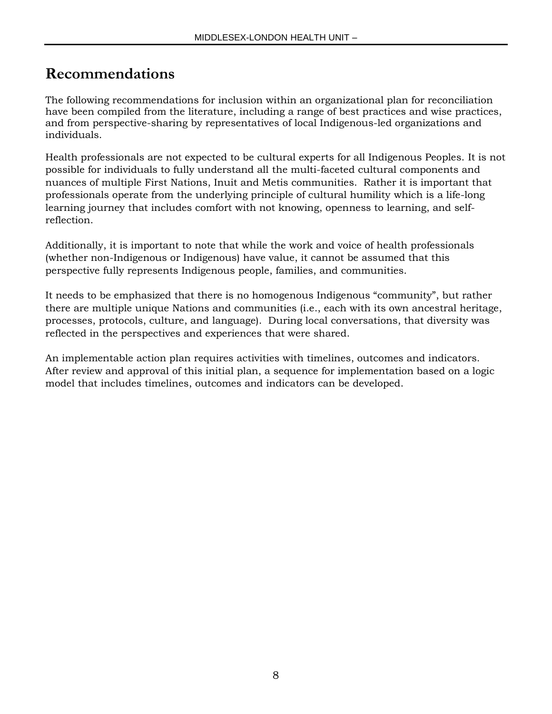## **Recommendations**

The following recommendations for inclusion within an organizational plan for reconciliation have been compiled from the literature, including a range of best practices and wise practices, and from perspective-sharing by representatives of local Indigenous-led organizations and individuals.

Health professionals are not expected to be cultural experts for all Indigenous Peoples. It is not possible for individuals to fully understand all the multi-faceted cultural components and nuances of multiple First Nations, Inuit and Metis communities. Rather it is important that professionals operate from the underlying principle of cultural humility which is a life-long learning journey that includes comfort with not knowing, openness to learning, and selfreflection.

Additionally, it is important to note that while the work and voice of health professionals (whether non-Indigenous or Indigenous) have value, it cannot be assumed that this perspective fully represents Indigenous people, families, and communities.

It needs to be emphasized that there is no homogenous Indigenous "community", but rather there are multiple unique Nations and communities (i.e., each with its own ancestral heritage, processes, protocols, culture, and language). During local conversations, that diversity was reflected in the perspectives and experiences that were shared.

An implementable action plan requires activities with timelines, outcomes and indicators. After review and approval of this initial plan, a sequence for implementation based on a logic model that includes timelines, outcomes and indicators can be developed.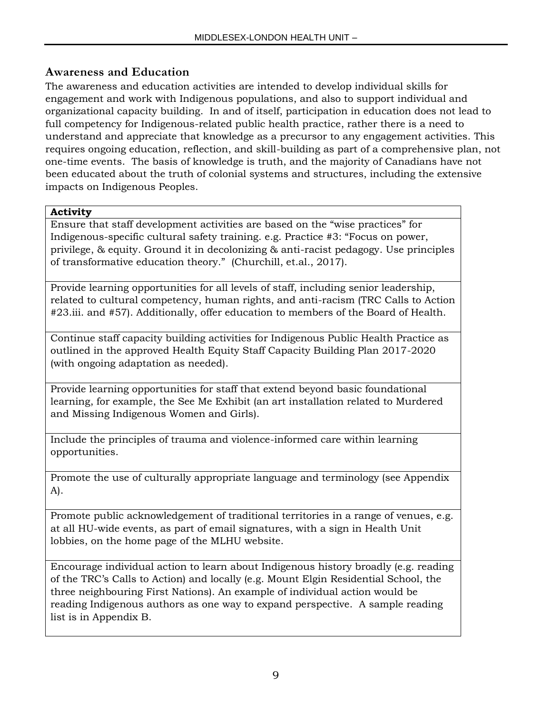### **Awareness and Education**

The awareness and education activities are intended to develop individual skills for engagement and work with Indigenous populations, and also to support individual and organizational capacity building. In and of itself, participation in education does not lead to full competency for Indigenous-related public health practice, rather there is a need to understand and appreciate that knowledge as a precursor to any engagement activities. This requires ongoing education, reflection, and skill-building as part of a comprehensive plan, not one-time events. The basis of knowledge is truth, and the majority of Canadians have not been educated about the truth of colonial systems and structures, including the extensive impacts on Indigenous Peoples.

#### **Activity**

Ensure that staff development activities are based on the "wise practices" for Indigenous-specific cultural safety training. e.g. Practice #3: "Focus on power, privilege, & equity. Ground it in decolonizing & anti-racist pedagogy. Use principles of transformative education theory." (Churchill, et.al., 2017).

Provide learning opportunities for all levels of staff, including senior leadership, related to cultural competency, human rights, and anti-racism (TRC Calls to Action #23.iii. and #57). Additionally, offer education to members of the Board of Health.

Continue staff capacity building activities for Indigenous Public Health Practice as outlined in the approved Health Equity Staff Capacity Building Plan 2017-2020 (with ongoing adaptation as needed).

Provide learning opportunities for staff that extend beyond basic foundational learning, for example, the See Me Exhibit (an art installation related to Murdered and Missing Indigenous Women and Girls).

Include the principles of trauma and violence-informed care within learning opportunities.

Promote the use of culturally appropriate language and terminology (see Appendix A).

Promote public acknowledgement of traditional territories in a range of venues, e.g. at all HU-wide events, as part of email signatures, with a sign in Health Unit lobbies, on the home page of the MLHU website.

Encourage individual action to learn about Indigenous history broadly (e.g. reading of the TRC's Calls to Action) and locally (e.g. Mount Elgin Residential School, the three neighbouring First Nations). An example of individual action would be reading Indigenous authors as one way to expand perspective. A sample reading list is in Appendix B.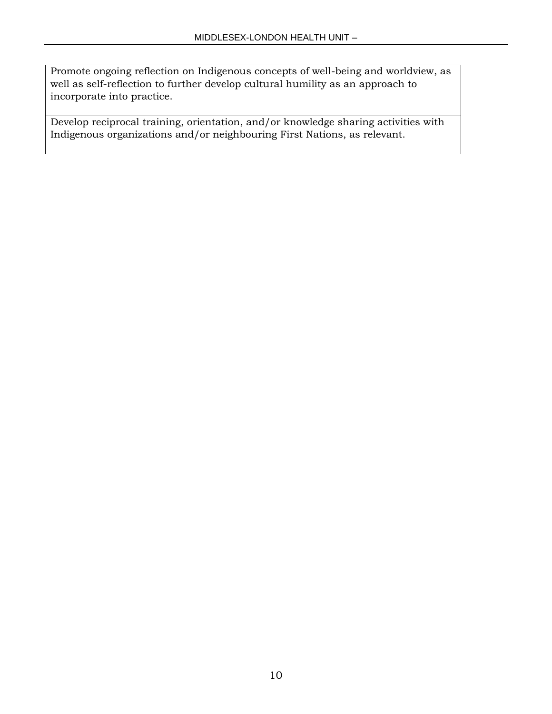Promote ongoing reflection on Indigenous concepts of well-being and worldview, as well as self-reflection to further develop cultural humility as an approach to incorporate into practice.

Develop reciprocal training, orientation, and/or knowledge sharing activities with Indigenous organizations and/or neighbouring First Nations, as relevant.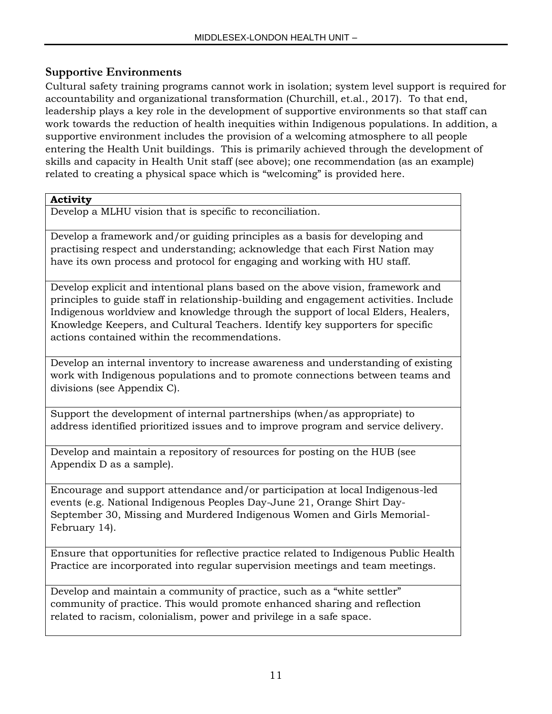### **Supportive Environments**

Cultural safety training programs cannot work in isolation; system level support is required for accountability and organizational transformation (Churchill, et.al., 2017). To that end, leadership plays a key role in the development of supportive environments so that staff can work towards the reduction of health inequities within Indigenous populations. In addition, a supportive environment includes the provision of a welcoming atmosphere to all people entering the Health Unit buildings. This is primarily achieved through the development of skills and capacity in Health Unit staff (see above); one recommendation (as an example) related to creating a physical space which is "welcoming" is provided here.

#### **Activity**

Develop a MLHU vision that is specific to reconciliation.

Develop a framework and/or guiding principles as a basis for developing and practising respect and understanding; acknowledge that each First Nation may have its own process and protocol for engaging and working with HU staff.

Develop explicit and intentional plans based on the above vision, framework and principles to guide staff in relationship-building and engagement activities. Include Indigenous worldview and knowledge through the support of local Elders, Healers, Knowledge Keepers, and Cultural Teachers. Identify key supporters for specific actions contained within the recommendations.

Develop an internal inventory to increase awareness and understanding of existing work with Indigenous populations and to promote connections between teams and divisions (see Appendix C).

Support the development of internal partnerships (when/as appropriate) to address identified prioritized issues and to improve program and service delivery.

Develop and maintain a repository of resources for posting on the HUB (see Appendix D as a sample).

Encourage and support attendance and/or participation at local Indigenous-led events (e.g. National Indigenous Peoples Day-June 21, Orange Shirt Day-September 30, Missing and Murdered Indigenous Women and Girls Memorial-February 14).

Ensure that opportunities for reflective practice related to Indigenous Public Health Practice are incorporated into regular supervision meetings and team meetings.

Develop and maintain a community of practice, such as a "white settler" community of practice. This would promote enhanced sharing and reflection related to racism, colonialism, power and privilege in a safe space.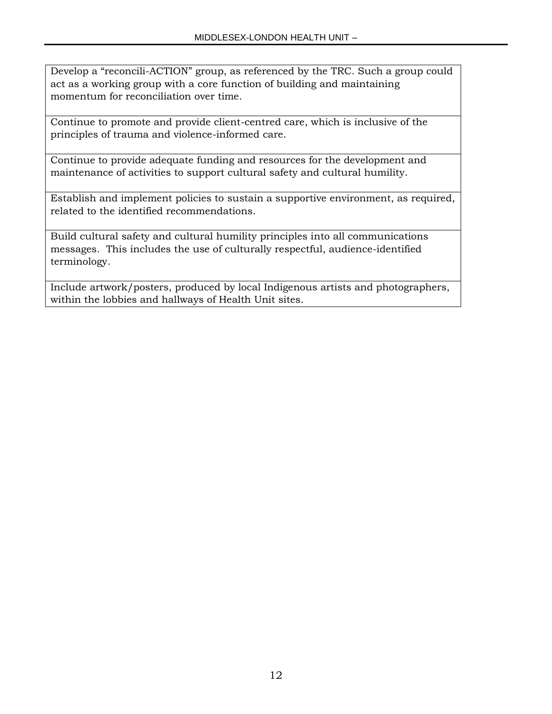Develop a "reconcili-ACTION" group, as referenced by the TRC. Such a group could act as a working group with a core function of building and maintaining momentum for reconciliation over time.

Continue to promote and provide client-centred care, which is inclusive of the principles of trauma and violence-informed care.

Continue to provide adequate funding and resources for the development and maintenance of activities to support cultural safety and cultural humility.

Establish and implement policies to sustain a supportive environment, as required, related to the identified recommendations.

Build cultural safety and cultural humility principles into all communications messages. This includes the use of culturally respectful, audience-identified terminology.

Include artwork/posters, produced by local Indigenous artists and photographers, within the lobbies and hallways of Health Unit sites.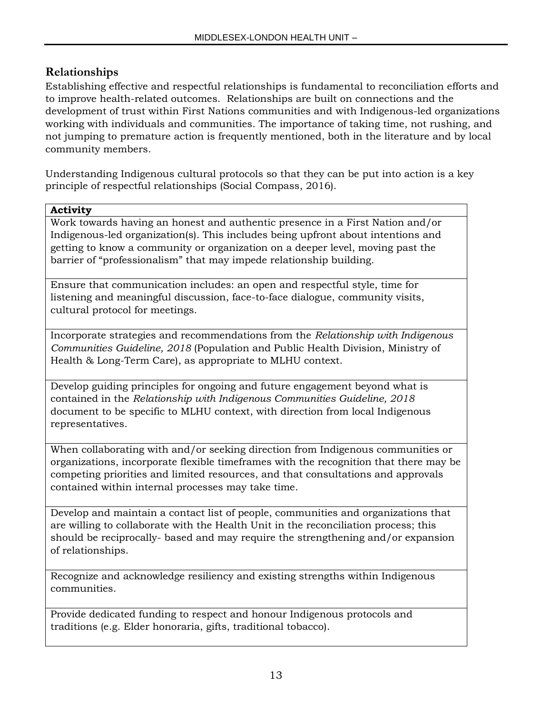### **Relationships**

Establishing effective and respectful relationships is fundamental to reconciliation efforts and to improve health-related outcomes. Relationships are built on connections and the development of trust within First Nations communities and with Indigenous-led organizations working with individuals and communities. The importance of taking time, not rushing, and not jumping to premature action is frequently mentioned, both in the literature and by local community members.

Understanding Indigenous cultural protocols so that they can be put into action is a key principle of respectful relationships (Social Compass, 2016).

#### **Activity**

Work towards having an honest and authentic presence in a First Nation and/or Indigenous-led organization(s). This includes being upfront about intentions and getting to know a community or organization on a deeper level, moving past the barrier of "professionalism" that may impede relationship building.

Ensure that communication includes: an open and respectful style, time for listening and meaningful discussion, face-to-face dialogue, community visits, cultural protocol for meetings.

Incorporate strategies and recommendations from the *Relationship with Indigenous Communities Guideline, 2018* (Population and Public Health Division, Ministry of Health & Long-Term Care), as appropriate to MLHU context.

Develop guiding principles for ongoing and future engagement beyond what is contained in the *Relationship with Indigenous Communities Guideline, 2018*  document to be specific to MLHU context, with direction from local Indigenous representatives.

When collaborating with and/or seeking direction from Indigenous communities or organizations, incorporate flexible timeframes with the recognition that there may be competing priorities and limited resources, and that consultations and approvals contained within internal processes may take time.

Develop and maintain a contact list of people, communities and organizations that are willing to collaborate with the Health Unit in the reconciliation process; this should be reciprocally- based and may require the strengthening and/or expansion of relationships.

Recognize and acknowledge resiliency and existing strengths within Indigenous communities.

Provide dedicated funding to respect and honour Indigenous protocols and traditions (e.g. Elder honoraria, gifts, traditional tobacco).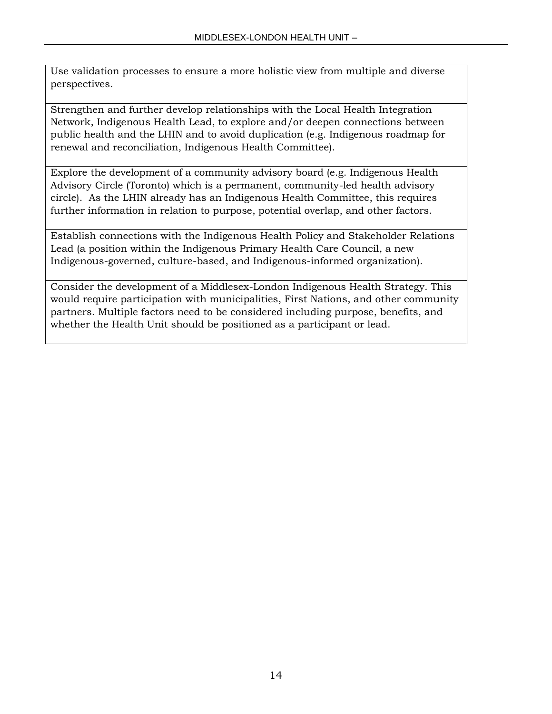Use validation processes to ensure a more holistic view from multiple and diverse perspectives.

Strengthen and further develop relationships with the Local Health Integration Network, Indigenous Health Lead, to explore and/or deepen connections between public health and the LHIN and to avoid duplication (e.g. Indigenous roadmap for renewal and reconciliation, Indigenous Health Committee).

Explore the development of a community advisory board (e.g. Indigenous Health Advisory Circle (Toronto) which is a permanent, community-led health advisory circle). As the LHIN already has an Indigenous Health Committee, this requires further information in relation to purpose, potential overlap, and other factors.

Establish connections with the Indigenous Health Policy and Stakeholder Relations Lead (a position within the Indigenous Primary Health Care Council, a new Indigenous-governed, culture-based, and Indigenous-informed organization).

Consider the development of a Middlesex-London Indigenous Health Strategy. This would require participation with municipalities, First Nations, and other community partners. Multiple factors need to be considered including purpose, benefits, and whether the Health Unit should be positioned as a participant or lead.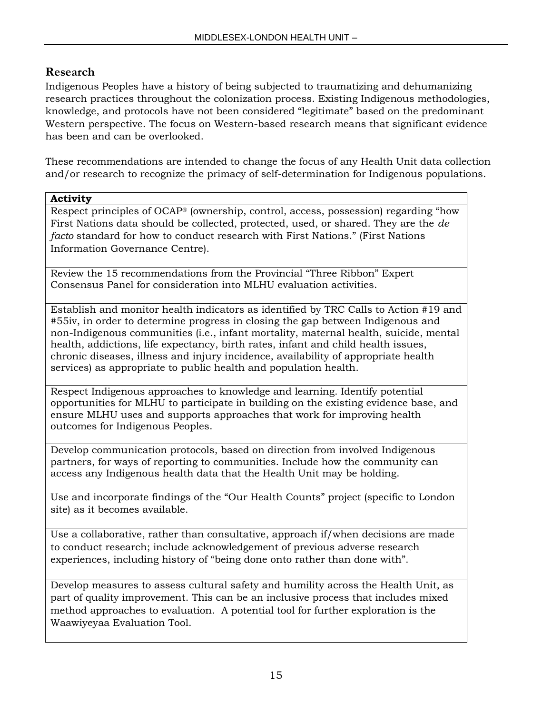### **Research**

Indigenous Peoples have a history of being subjected to traumatizing and dehumanizing research practices throughout the colonization process. Existing Indigenous methodologies, knowledge, and protocols have not been considered "legitimate" based on the predominant Western perspective. The focus on Western-based research means that significant evidence has been and can be overlooked.

These recommendations are intended to change the focus of any Health Unit data collection and/or research to recognize the primacy of self-determination for Indigenous populations.

#### **Activity**

Respect principles of OCAP® (ownership, control, access, possession) regarding "how First Nations data should be collected, protected, used, or shared. They are the *de facto* standard for how to conduct research with First Nations." (First Nations Information Governance Centre).

Review the 15 recommendations from the Provincial "Three Ribbon" Expert Consensus Panel for consideration into MLHU evaluation activities.

Establish and monitor health indicators as identified by TRC Calls to Action #19 and #55iv, in order to determine progress in closing the gap between Indigenous and non-Indigenous communities (i.e., infant mortality, maternal health, suicide, mental health, addictions, life expectancy, birth rates, infant and child health issues, chronic diseases, illness and injury incidence, availability of appropriate health services) as appropriate to public health and population health.

Respect Indigenous approaches to knowledge and learning. Identify potential opportunities for MLHU to participate in building on the existing evidence base, and ensure MLHU uses and supports approaches that work for improving health outcomes for Indigenous Peoples.

Develop communication protocols, based on direction from involved Indigenous partners, for ways of reporting to communities. Include how the community can access any Indigenous health data that the Health Unit may be holding.

Use and incorporate findings of the "Our Health Counts" project (specific to London site) as it becomes available.

Use a collaborative, rather than consultative, approach if/when decisions are made to conduct research; include acknowledgement of previous adverse research experiences, including history of "being done onto rather than done with".

Develop measures to assess cultural safety and humility across the Health Unit, as part of quality improvement. This can be an inclusive process that includes mixed method approaches to evaluation. A potential tool for further exploration is the Waawiyeyaa Evaluation Tool.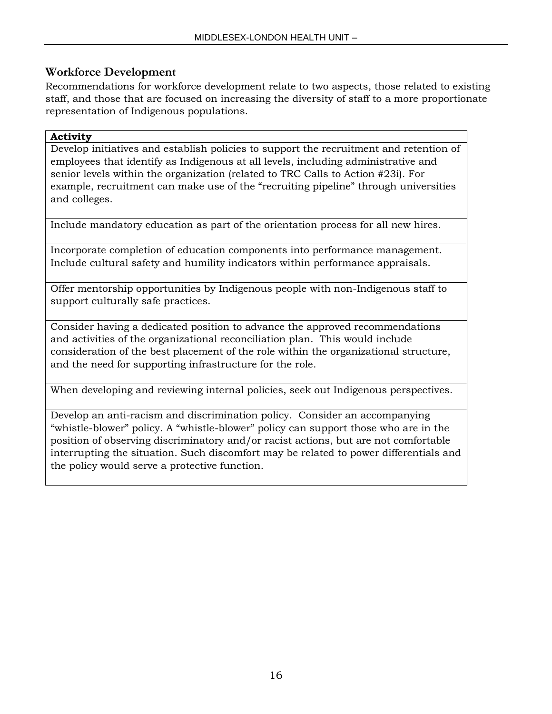### **Workforce Development**

Recommendations for workforce development relate to two aspects, those related to existing staff, and those that are focused on increasing the diversity of staff to a more proportionate representation of Indigenous populations.

#### **Activity**

Develop initiatives and establish policies to support the recruitment and retention of employees that identify as Indigenous at all levels, including administrative and senior levels within the organization (related to TRC Calls to Action #23i). For example, recruitment can make use of the "recruiting pipeline" through universities and colleges.

Include mandatory education as part of the orientation process for all new hires.

Incorporate completion of education components into performance management. Include cultural safety and humility indicators within performance appraisals.

Offer mentorship opportunities by Indigenous people with non-Indigenous staff to support culturally safe practices.

Consider having a dedicated position to advance the approved recommendations and activities of the organizational reconciliation plan. This would include consideration of the best placement of the role within the organizational structure, and the need for supporting infrastructure for the role.

When developing and reviewing internal policies, seek out Indigenous perspectives.

Develop an anti-racism and discrimination policy. Consider an accompanying "whistle-blower" policy. A "whistle-blower" policy can support those who are in the position of observing discriminatory and/or racist actions, but are not comfortable interrupting the situation. Such discomfort may be related to power differentials and the policy would serve a protective function.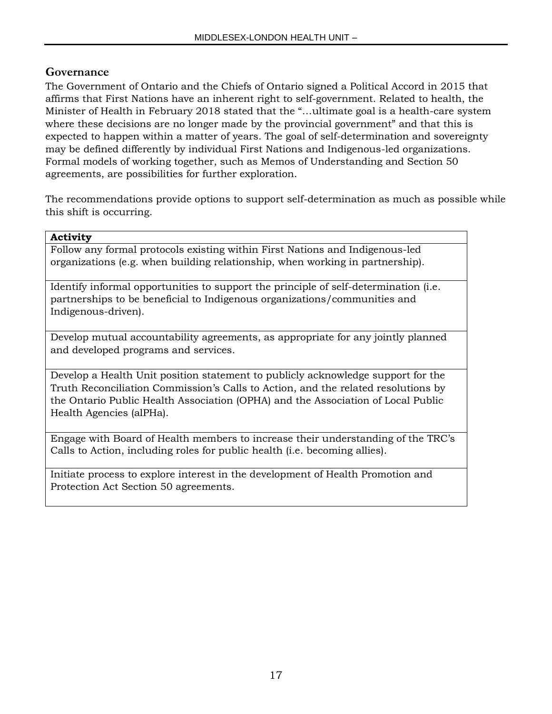### **Governance**

The Government of Ontario and the Chiefs of Ontario signed a Political Accord in 2015 that affirms that First Nations have an inherent right to self-government. Related to health, the Minister of Health in February 2018 stated that the "…ultimate goal is a health-care system where these decisions are no longer made by the provincial government" and that this is expected to happen within a matter of years. The goal of self-determination and sovereignty may be defined differently by individual First Nations and Indigenous-led organizations. Formal models of working together, such as Memos of Understanding and Section 50 agreements, are possibilities for further exploration.

The recommendations provide options to support self-determination as much as possible while this shift is occurring.

#### **Activity**

Follow any formal protocols existing within First Nations and Indigenous-led organizations (e.g. when building relationship, when working in partnership).

Identify informal opportunities to support the principle of self-determination (i.e. partnerships to be beneficial to Indigenous organizations/communities and Indigenous-driven).

Develop mutual accountability agreements, as appropriate for any jointly planned and developed programs and services.

Develop a Health Unit position statement to publicly acknowledge support for the Truth Reconciliation Commission's Calls to Action, and the related resolutions by the Ontario Public Health Association (OPHA) and the Association of Local Public Health Agencies (alPHa).

Engage with Board of Health members to increase their understanding of the TRC's Calls to Action, including roles for public health (i.e. becoming allies).

Initiate process to explore interest in the development of Health Promotion and Protection Act Section 50 agreements.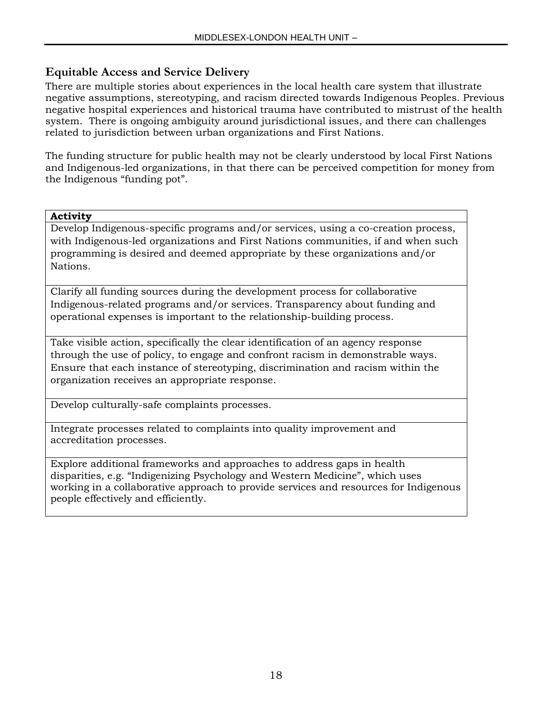### **Equitable Access and Service Delivery**

There are multiple stories about experiences in the local health care system that illustrate negative assumptions, stereotyping, and racism directed towards Indigenous Peoples. Previous negative hospital experiences and historical trauma have contributed to mistrust of the health system. There is ongoing ambiguity around jurisdictional issues, and there can challenges related to jurisdiction between urban organizations and First Nations.

The funding structure for public health may not be clearly understood by local First Nations and Indigenous-led organizations, in that there can be perceived competition for money from the Indigenous "funding pot".

#### **Activity**

Develop Indigenous-specific programs and/or services, using a co-creation process, with Indigenous-led organizations and First Nations communities, if and when such programming is desired and deemed appropriate by these organizations and/or Nations.

Clarify all funding sources during the development process for collaborative Indigenous-related programs and/or services. Transparency about funding and operational expenses is important to the relationship-building process.

Take visible action, specifically the clear identification of an agency response through the use of policy, to engage and confront racism in demonstrable ways. Ensure that each instance of stereotyping, discrimination and racism within the organization receives an appropriate response.

Develop culturally-safe complaints processes.

Integrate processes related to complaints into quality improvement and accreditation processes.

Explore additional frameworks and approaches to address gaps in health disparities, e.g. "Indigenizing Psychology and Western Medicine", which uses working in a collaborative approach to provide services and resources for Indigenous people effectively and efficiently.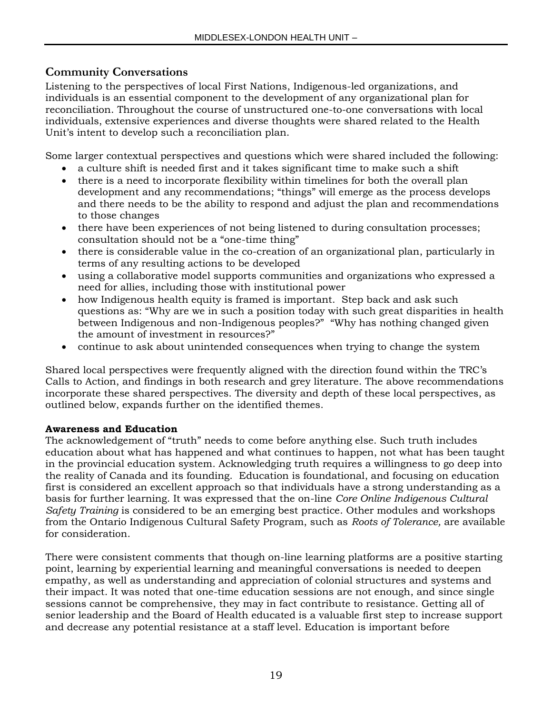### **Community Conversations**

Listening to the perspectives of local First Nations, Indigenous-led organizations, and individuals is an essential component to the development of any organizational plan for reconciliation. Throughout the course of unstructured one-to-one conversations with local individuals, extensive experiences and diverse thoughts were shared related to the Health Unit's intent to develop such a reconciliation plan.

Some larger contextual perspectives and questions which were shared included the following:

- a culture shift is needed first and it takes significant time to make such a shift
- there is a need to incorporate flexibility within timelines for both the overall plan development and any recommendations; "things" will emerge as the process develops and there needs to be the ability to respond and adjust the plan and recommendations to those changes
- there have been experiences of not being listened to during consultation processes; consultation should not be a "one-time thing"
- there is considerable value in the co-creation of an organizational plan, particularly in terms of any resulting actions to be developed
- using a collaborative model supports communities and organizations who expressed a need for allies, including those with institutional power
- how Indigenous health equity is framed is important. Step back and ask such questions as: "Why are we in such a position today with such great disparities in health between Indigenous and non-Indigenous peoples?" "Why has nothing changed given the amount of investment in resources?"
- continue to ask about unintended consequences when trying to change the system

Shared local perspectives were frequently aligned with the direction found within the TRC's Calls to Action, and findings in both research and grey literature. The above recommendations incorporate these shared perspectives. The diversity and depth of these local perspectives, as outlined below, expands further on the identified themes.

#### **Awareness and Education**

The acknowledgement of "truth" needs to come before anything else. Such truth includes education about what has happened and what continues to happen, not what has been taught in the provincial education system. Acknowledging truth requires a willingness to go deep into the reality of Canada and its founding. Education is foundational, and focusing on education first is considered an excellent approach so that individuals have a strong understanding as a basis for further learning. It was expressed that the on-line *Core Online Indigenous Cultural Safety Training* is considered to be an emerging best practice. Other modules and workshops from the Ontario Indigenous Cultural Safety Program, such as *Roots of Tolerance,* are available for consideration.

There were consistent comments that though on-line learning platforms are a positive starting point, learning by experiential learning and meaningful conversations is needed to deepen empathy, as well as understanding and appreciation of colonial structures and systems and their impact. It was noted that one-time education sessions are not enough, and since single sessions cannot be comprehensive, they may in fact contribute to resistance. Getting all of senior leadership and the Board of Health educated is a valuable first step to increase support and decrease any potential resistance at a staff level. Education is important before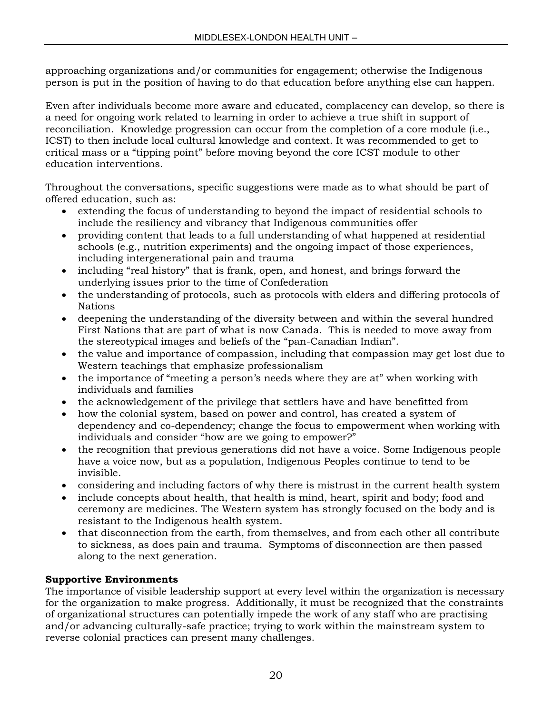approaching organizations and/or communities for engagement; otherwise the Indigenous person is put in the position of having to do that education before anything else can happen.

Even after individuals become more aware and educated, complacency can develop, so there is a need for ongoing work related to learning in order to achieve a true shift in support of reconciliation. Knowledge progression can occur from the completion of a core module (i.e., ICST) to then include local cultural knowledge and context. It was recommended to get to critical mass or a "tipping point" before moving beyond the core ICST module to other education interventions.

Throughout the conversations, specific suggestions were made as to what should be part of offered education, such as:

- extending the focus of understanding to beyond the impact of residential schools to include the resiliency and vibrancy that Indigenous communities offer
- providing content that leads to a full understanding of what happened at residential schools (e.g., nutrition experiments) and the ongoing impact of those experiences, including intergenerational pain and trauma
- including "real history" that is frank, open, and honest, and brings forward the underlying issues prior to the time of Confederation
- the understanding of protocols, such as protocols with elders and differing protocols of Nations
- deepening the understanding of the diversity between and within the several hundred First Nations that are part of what is now Canada. This is needed to move away from the stereotypical images and beliefs of the "pan-Canadian Indian".
- the value and importance of compassion, including that compassion may get lost due to Western teachings that emphasize professionalism
- the importance of "meeting a person's needs where they are at" when working with individuals and families
- the acknowledgement of the privilege that settlers have and have benefitted from
- how the colonial system, based on power and control, has created a system of dependency and co-dependency; change the focus to empowerment when working with individuals and consider "how are we going to empower?"
- the recognition that previous generations did not have a voice. Some Indigenous people have a voice now, but as a population, Indigenous Peoples continue to tend to be invisible.
- considering and including factors of why there is mistrust in the current health system
- include concepts about health, that health is mind, heart, spirit and body; food and ceremony are medicines. The Western system has strongly focused on the body and is resistant to the Indigenous health system.
- that disconnection from the earth, from themselves, and from each other all contribute to sickness, as does pain and trauma. Symptoms of disconnection are then passed along to the next generation.

### **Supportive Environments**

The importance of visible leadership support at every level within the organization is necessary for the organization to make progress. Additionally, it must be recognized that the constraints of organizational structures can potentially impede the work of any staff who are practising and/or advancing culturally-safe practice; trying to work within the mainstream system to reverse colonial practices can present many challenges.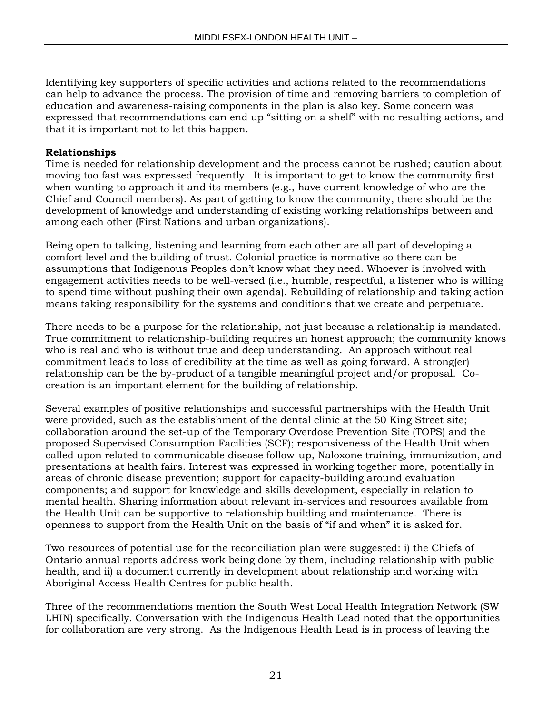Identifying key supporters of specific activities and actions related to the recommendations can help to advance the process. The provision of time and removing barriers to completion of education and awareness-raising components in the plan is also key. Some concern was expressed that recommendations can end up "sitting on a shelf" with no resulting actions, and that it is important not to let this happen.

#### **Relationships**

Time is needed for relationship development and the process cannot be rushed; caution about moving too fast was expressed frequently. It is important to get to know the community first when wanting to approach it and its members (e.g., have current knowledge of who are the Chief and Council members). As part of getting to know the community, there should be the development of knowledge and understanding of existing working relationships between and among each other (First Nations and urban organizations).

Being open to talking, listening and learning from each other are all part of developing a comfort level and the building of trust. Colonial practice is normative so there can be assumptions that Indigenous Peoples don't know what they need. Whoever is involved with engagement activities needs to be well-versed (i.e., humble, respectful, a listener who is willing to spend time without pushing their own agenda). Rebuilding of relationship and taking action means taking responsibility for the systems and conditions that we create and perpetuate.

There needs to be a purpose for the relationship, not just because a relationship is mandated. True commitment to relationship-building requires an honest approach; the community knows who is real and who is without true and deep understanding. An approach without real commitment leads to loss of credibility at the time as well as going forward. A strong(er) relationship can be the by-product of a tangible meaningful project and/or proposal. Cocreation is an important element for the building of relationship.

Several examples of positive relationships and successful partnerships with the Health Unit were provided, such as the establishment of the dental clinic at the 50 King Street site; collaboration around the set-up of the Temporary Overdose Prevention Site (TOPS) and the proposed Supervised Consumption Facilities (SCF); responsiveness of the Health Unit when called upon related to communicable disease follow-up, Naloxone training, immunization, and presentations at health fairs. Interest was expressed in working together more, potentially in areas of chronic disease prevention; support for capacity-building around evaluation components; and support for knowledge and skills development, especially in relation to mental health. Sharing information about relevant in-services and resources available from the Health Unit can be supportive to relationship building and maintenance. There is openness to support from the Health Unit on the basis of "if and when" it is asked for.

Two resources of potential use for the reconciliation plan were suggested: i) the Chiefs of Ontario annual reports address work being done by them, including relationship with public health, and ii) a document currently in development about relationship and working with Aboriginal Access Health Centres for public health.

Three of the recommendations mention the South West Local Health Integration Network (SW LHIN) specifically. Conversation with the Indigenous Health Lead noted that the opportunities for collaboration are very strong. As the Indigenous Health Lead is in process of leaving the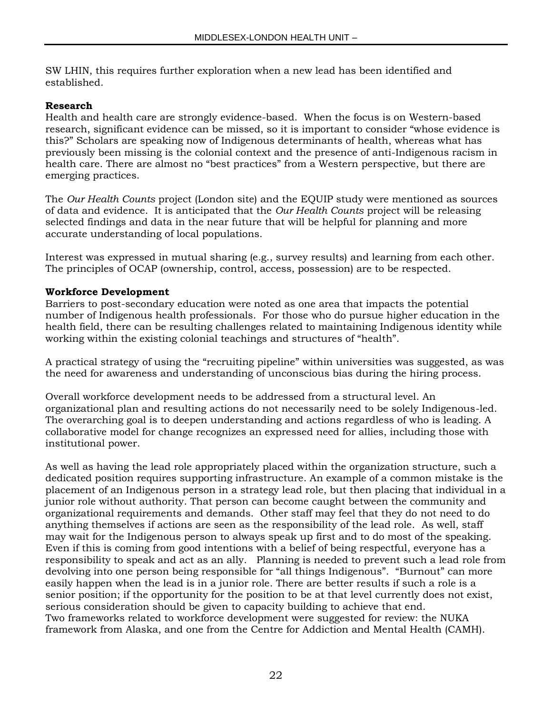SW LHIN, this requires further exploration when a new lead has been identified and established.

#### **Research**

Health and health care are strongly evidence-based. When the focus is on Western-based research, significant evidence can be missed, so it is important to consider "whose evidence is this?" Scholars are speaking now of Indigenous determinants of health, whereas what has previously been missing is the colonial context and the presence of anti-Indigenous racism in health care. There are almost no "best practices" from a Western perspective, but there are emerging practices.

The *Our Health Counts* project (London site) and the EQUIP study were mentioned as sources of data and evidence. It is anticipated that the *Our Health Counts* project will be releasing selected findings and data in the near future that will be helpful for planning and more accurate understanding of local populations.

Interest was expressed in mutual sharing (e.g., survey results) and learning from each other. The principles of OCAP (ownership, control, access, possession) are to be respected.

#### **Workforce Development**

Barriers to post-secondary education were noted as one area that impacts the potential number of Indigenous health professionals. For those who do pursue higher education in the health field, there can be resulting challenges related to maintaining Indigenous identity while working within the existing colonial teachings and structures of "health".

A practical strategy of using the "recruiting pipeline" within universities was suggested, as was the need for awareness and understanding of unconscious bias during the hiring process.

Overall workforce development needs to be addressed from a structural level. An organizational plan and resulting actions do not necessarily need to be solely Indigenous-led. The overarching goal is to deepen understanding and actions regardless of who is leading. A collaborative model for change recognizes an expressed need for allies, including those with institutional power.

As well as having the lead role appropriately placed within the organization structure, such a dedicated position requires supporting infrastructure. An example of a common mistake is the placement of an Indigenous person in a strategy lead role, but then placing that individual in a junior role without authority. That person can become caught between the community and organizational requirements and demands. Other staff may feel that they do not need to do anything themselves if actions are seen as the responsibility of the lead role. As well, staff may wait for the Indigenous person to always speak up first and to do most of the speaking. Even if this is coming from good intentions with a belief of being respectful, everyone has a responsibility to speak and act as an ally. Planning is needed to prevent such a lead role from devolving into one person being responsible for "all things Indigenous". "Burnout" can more easily happen when the lead is in a junior role. There are better results if such a role is a senior position; if the opportunity for the position to be at that level currently does not exist, serious consideration should be given to capacity building to achieve that end. Two frameworks related to workforce development were suggested for review: the NUKA framework from Alaska, and one from the Centre for Addiction and Mental Health (CAMH).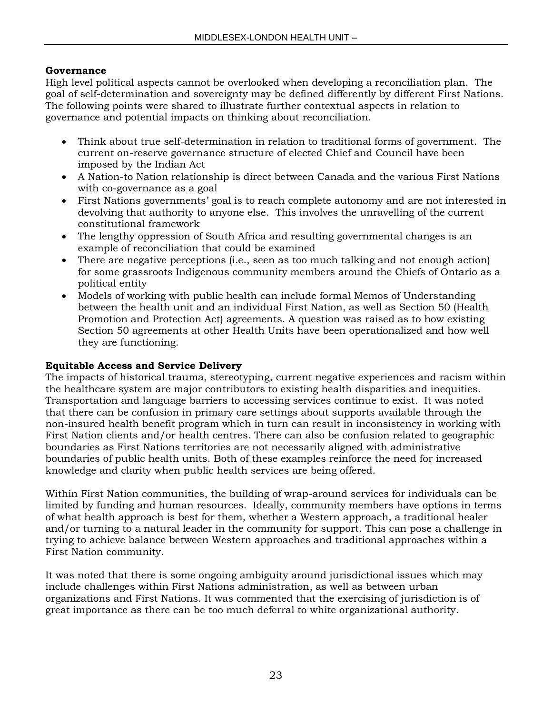#### **Governance**

High level political aspects cannot be overlooked when developing a reconciliation plan. The goal of self-determination and sovereignty may be defined differently by different First Nations. The following points were shared to illustrate further contextual aspects in relation to governance and potential impacts on thinking about reconciliation.

- Think about true self-determination in relation to traditional forms of government. The current on-reserve governance structure of elected Chief and Council have been imposed by the Indian Act
- A Nation-to Nation relationship is direct between Canada and the various First Nations with co-governance as a goal
- First Nations governments' goal is to reach complete autonomy and are not interested in devolving that authority to anyone else. This involves the unravelling of the current constitutional framework
- The lengthy oppression of South Africa and resulting governmental changes is an example of reconciliation that could be examined
- There are negative perceptions (i.e., seen as too much talking and not enough action) for some grassroots Indigenous community members around the Chiefs of Ontario as a political entity
- Models of working with public health can include formal Memos of Understanding between the health unit and an individual First Nation, as well as Section 50 (Health Promotion and Protection Act) agreements. A question was raised as to how existing Section 50 agreements at other Health Units have been operationalized and how well they are functioning.

#### **Equitable Access and Service Delivery**

The impacts of historical trauma, stereotyping, current negative experiences and racism within the healthcare system are major contributors to existing health disparities and inequities. Transportation and language barriers to accessing services continue to exist. It was noted that there can be confusion in primary care settings about supports available through the non-insured health benefit program which in turn can result in inconsistency in working with First Nation clients and/or health centres. There can also be confusion related to geographic boundaries as First Nations territories are not necessarily aligned with administrative boundaries of public health units. Both of these examples reinforce the need for increased knowledge and clarity when public health services are being offered.

Within First Nation communities, the building of wrap-around services for individuals can be limited by funding and human resources. Ideally, community members have options in terms of what health approach is best for them, whether a Western approach, a traditional healer and/or turning to a natural leader in the community for support. This can pose a challenge in trying to achieve balance between Western approaches and traditional approaches within a First Nation community.

It was noted that there is some ongoing ambiguity around jurisdictional issues which may include challenges within First Nations administration, as well as between urban organizations and First Nations. It was commented that the exercising of jurisdiction is of great importance as there can be too much deferral to white organizational authority.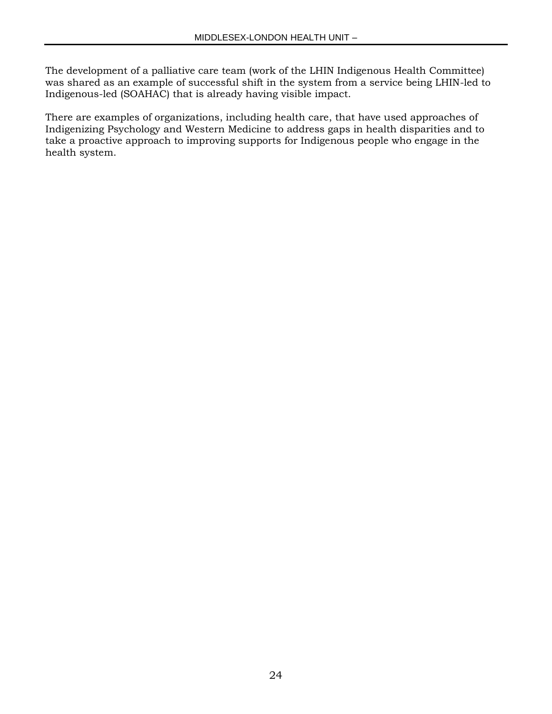The development of a palliative care team (work of the LHIN Indigenous Health Committee) was shared as an example of successful shift in the system from a service being LHIN-led to Indigenous-led (SOAHAC) that is already having visible impact.

There are examples of organizations, including health care, that have used approaches of Indigenizing Psychology and Western Medicine to address gaps in health disparities and to take a proactive approach to improving supports for Indigenous people who engage in the health system.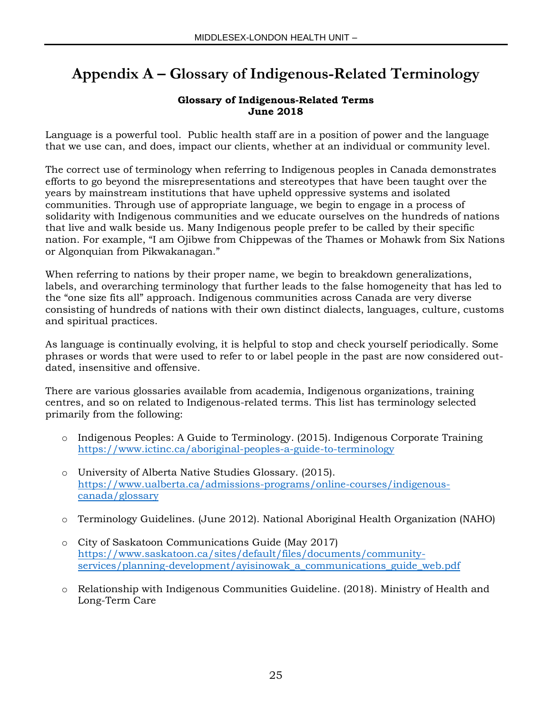## **Appendix A – Glossary of Indigenous-Related Terminology**

#### **Glossary of Indigenous-Related Terms June 2018**

Language is a powerful tool. Public health staff are in a position of power and the language that we use can, and does, impact our clients, whether at an individual or community level.

The correct use of terminology when referring to Indigenous peoples in Canada demonstrates efforts to go beyond the misrepresentations and stereotypes that have been taught over the years by mainstream institutions that have upheld oppressive systems and isolated communities. Through use of appropriate language, we begin to engage in a process of solidarity with Indigenous communities and we educate ourselves on the hundreds of nations that live and walk beside us. Many Indigenous people prefer to be called by their specific nation. For example, "I am Ojibwe from Chippewas of the Thames or Mohawk from Six Nations or Algonquian from Pikwakanagan."

When referring to nations by their proper name, we begin to breakdown generalizations, labels, and overarching terminology that further leads to the false homogeneity that has led to the "one size fits all" approach. Indigenous communities across Canada are very diverse consisting of hundreds of nations with their own distinct dialects, languages, culture, customs and spiritual practices.

As language is continually evolving, it is helpful to stop and check yourself periodically. Some phrases or words that were used to refer to or label people in the past are now considered outdated, insensitive and offensive.

There are various glossaries available from academia, Indigenous organizations, training centres, and so on related to Indigenous-related terms. This list has terminology selected primarily from the following:

- o Indigenous Peoples: A Guide to Terminology. (2015). Indigenous Corporate Training <https://www.ictinc.ca/aboriginal-peoples-a-guide-to-terminology>
- o University of Alberta Native Studies Glossary. (2015). [https://www.ualberta.ca/admissions-programs/online-courses/indigenous](https://www.ualberta.ca/admissions-programs/online-courses/indigenous-canada/glossary)[canada/glossary](https://www.ualberta.ca/admissions-programs/online-courses/indigenous-canada/glossary)
- o Terminology Guidelines. (June 2012). National Aboriginal Health Organization (NAHO)
- o City of Saskatoon Communications Guide (May 2017) [https://www.saskatoon.ca/sites/default/files/documents/community](https://www.saskatoon.ca/sites/default/files/documents/community-services/planning-development/ayisinowak_a_communications_guide_web.pdf)[services/planning-development/ayisinowak\\_a\\_communications\\_guide\\_web.pdf](https://www.saskatoon.ca/sites/default/files/documents/community-services/planning-development/ayisinowak_a_communications_guide_web.pdf)
- o Relationship with Indigenous Communities Guideline. (2018). Ministry of Health and Long-Term Care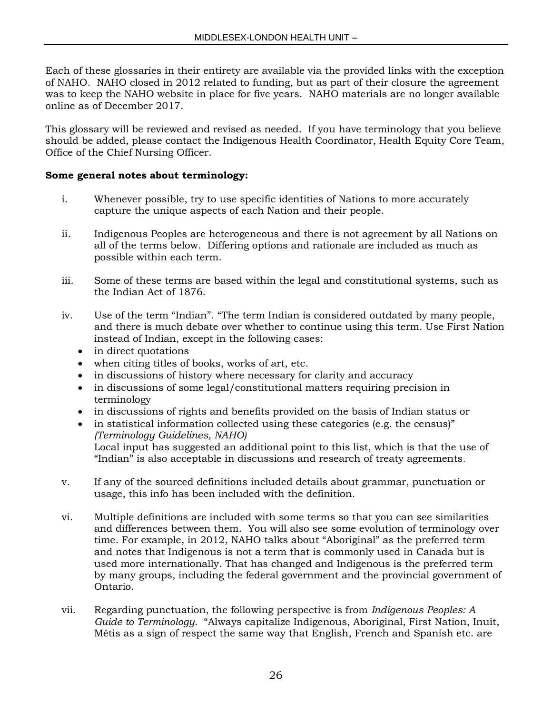Each of these glossaries in their entirety are available via the provided links with the exception of NAHO. NAHO closed in 2012 related to funding, but as part of their closure the agreement was to keep the NAHO website in place for five years. NAHO materials are no longer available online as of December 2017.

This glossary will be reviewed and revised as needed. If you have terminology that you believe should be added, please contact the Indigenous Health Coordinator, Health Equity Core Team, Office of the Chief Nursing Officer.

#### **Some general notes about terminology:**

- i. Whenever possible, try to use specific identities of Nations to more accurately capture the unique aspects of each Nation and their people.
- ii. Indigenous Peoples are heterogeneous and there is not agreement by all Nations on all of the terms below. Differing options and rationale are included as much as possible within each term.
- iii. Some of these terms are based within the legal and constitutional systems, such as the Indian Act of 1876.
- iv. Use of the term "Indian". "The term Indian is considered outdated by many people, and there is much debate over whether to continue using this term. Use First Nation instead of Indian, except in the following cases:
	- in direct quotations
	- when citing titles of books, works of art, etc.
	- in discussions of history where necessary for clarity and accuracy
	- in discussions of some legal/constitutional matters requiring precision in terminology
	- in discussions of rights and benefits provided on the basis of Indian status or
	- in statistical information collected using these categories (e.g. the census)" *(Terminology Guidelines, NAHO)* Local input has suggested an additional point to this list, which is that the use of "Indian" is also acceptable in discussions and research of treaty agreements.
- v. If any of the sourced definitions included details about grammar, punctuation or usage, this info has been included with the definition.
- vi. Multiple definitions are included with some terms so that you can see similarities and differences between them. You will also see some evolution of terminology over time. For example, in 2012, NAHO talks about "Aboriginal" as the preferred term and notes that Indigenous is not a term that is commonly used in Canada but is used more internationally. That has changed and Indigenous is the preferred term by many groups, including the federal government and the provincial government of Ontario.
- vii. Regarding punctuation, the following perspective is from *Indigenous Peoples: A Guide to Terminology.* "Always capitalize Indigenous, Aboriginal, First Nation, Inuit, Métis as a sign of respect the same way that English, French and Spanish etc. are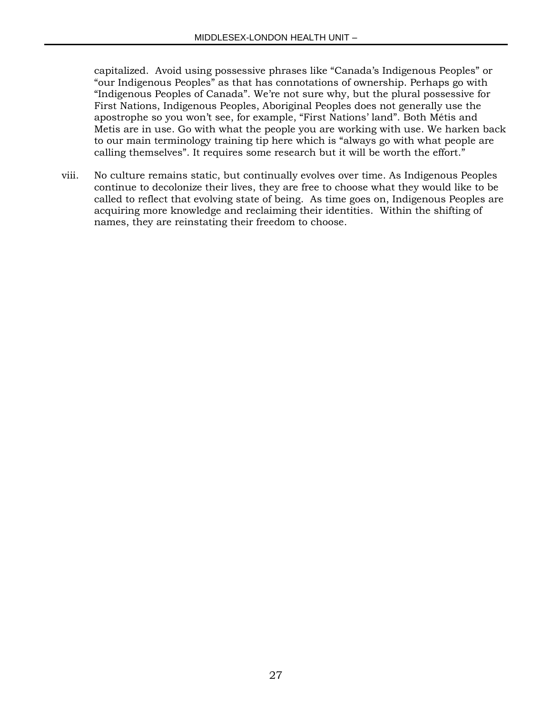capitalized. Avoid using possessive phrases like "Canada's Indigenous Peoples" or "our Indigenous Peoples" as that has connotations of ownership. Perhaps go with "Indigenous Peoples of Canada". We're not sure why, but the plural possessive for First Nations, Indigenous Peoples, Aboriginal Peoples does not generally use the apostrophe so you won't see, for example, "First Nations' land". Both Métis and Metis are in use. Go with what the people you are working with use. We harken back to our main terminology training tip here which is "always go with what people are calling themselves". It requires some research but it will be worth the effort."

viii. No culture remains static, but continually evolves over time. As Indigenous Peoples continue to decolonize their lives, they are free to choose what they would like to be called to reflect that evolving state of being. As time goes on, Indigenous Peoples are acquiring more knowledge and reclaiming their identities. Within the shifting of names, they are reinstating their freedom to choose.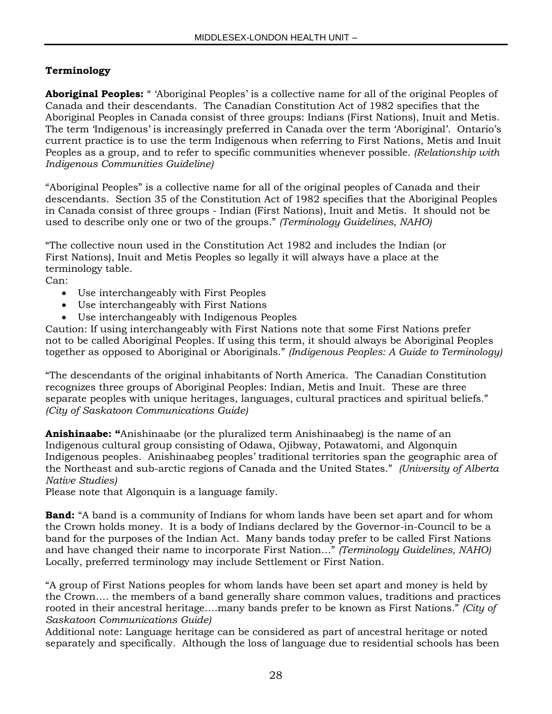### **Terminology**

**Aboriginal Peoples:** " 'Aboriginal Peoples' is a collective name for all of the original Peoples of Canada and their descendants. The Canadian Constitution Act of 1982 specifies that the Aboriginal Peoples in Canada consist of three groups: Indians (First Nations), Inuit and Metis. The term 'Indigenous' is increasingly preferred in Canada over the term 'Aboriginal'. Ontario's current practice is to use the term Indigenous when referring to First Nations, Metis and Inuit Peoples as a group, and to refer to specific communities whenever possible. *(Relationship with Indigenous Communities Guideline)*

"Aboriginal Peoples" is a collective name for all of the original peoples of Canada and their descendants. Section 35 of the Constitution Act of 1982 specifies that the Aboriginal Peoples in Canada consist of three groups - Indian (First Nations), Inuit and Metis. It should not be used to describe only one or two of the groups." *(Terminology Guidelines, NAHO)*

"The collective noun used in the Constitution Act 1982 and includes the Indian (or First Nations), Inuit and Metis Peoples so legally it will always have a place at the terminology table.

Can:

- Use interchangeably with First Peoples
- Use interchangeably with First Nations
- Use interchangeably with Indigenous Peoples

Caution: If using interchangeably with First Nations note that some First Nations prefer not to be called Aboriginal Peoples. If using this term, it should always be Aboriginal Peoples together as opposed to Aboriginal or Aboriginals." *(Indigenous Peoples: A Guide to Terminology)*

"The descendants of the original inhabitants of North America. The Canadian Constitution recognizes three groups of Aboriginal Peoples: Indian, Metis and Inuit. These are three separate peoples with unique heritages, languages, cultural practices and spiritual beliefs." *(City of Saskatoon Communications Guide)*

**Anishinaabe: "**Anishinaabe (or the pluralized term Anishinaabeg) is the name of an Indigenous cultural group consisting of Odawa, Ojibway, Potawatomi, and Algonquin Indigenous peoples. Anishinaabeg peoples' traditional territories span the geographic area of the Northeast and sub-arctic regions of Canada and the United States." *(University of Alberta Native Studies)* 

Please note that Algonquin is a language family.

**Band:** "A band is a community of Indians for whom lands have been set apart and for whom the Crown holds money. It is a body of Indians declared by the Governor-in-Council to be a band for the purposes of the Indian Act. Many bands today prefer to be called First Nations and have changed their name to incorporate First Nation…" *(Terminology Guidelines, NAHO)* Locally, preferred terminology may include Settlement or First Nation.

"A group of First Nations peoples for whom lands have been set apart and money is held by the Crown…. the members of a band generally share common values, traditions and practices rooted in their ancestral heritage….many bands prefer to be known as First Nations." *(City of Saskatoon Communications Guide)*

Additional note: Language heritage can be considered as part of ancestral heritage or noted separately and specifically. Although the loss of language due to residential schools has been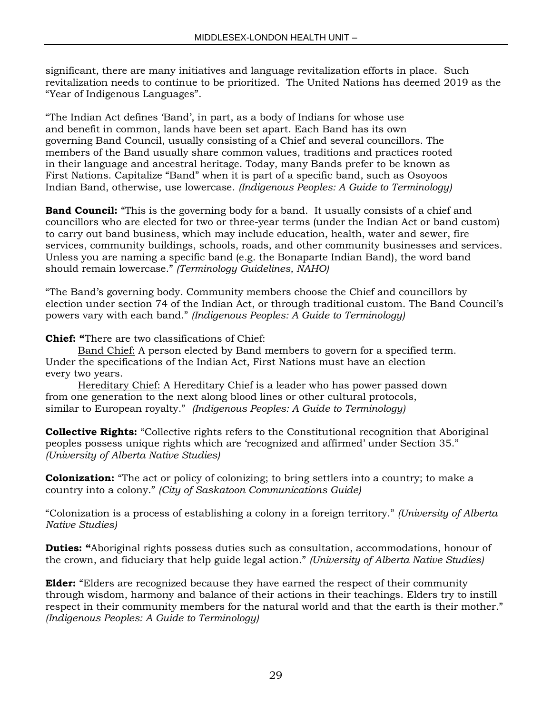significant, there are many initiatives and language revitalization efforts in place. Such revitalization needs to continue to be prioritized. The United Nations has deemed 2019 as the "Year of Indigenous Languages".

"The Indian Act defines 'Band', in part, as a body of Indians for whose use and benefit in common, lands have been set apart. Each Band has its own governing Band Council, usually consisting of a Chief and several councillors. The members of the Band usually share common values, traditions and practices rooted in their language and ancestral heritage. Today, many Bands prefer to be known as First Nations. Capitalize "Band" when it is part of a specific band, such as Osoyoos Indian Band, otherwise, use lowercase. *(Indigenous Peoples: A Guide to Terminology)*

**Band Council:** "This is the governing body for a band. It usually consists of a chief and councillors who are elected for two or three-year terms (under the Indian Act or band custom) to carry out band business, which may include education, health, water and sewer, fire services, community buildings, schools, roads, and other community businesses and services. Unless you are naming a specific band (e.g. the Bonaparte Indian Band), the word band should remain lowercase." *(Terminology Guidelines, NAHO)*

"The Band's governing body. Community members choose the Chief and councillors by election under section 74 of the Indian Act, or through traditional custom. The Band Council's powers vary with each band." *(Indigenous Peoples: A Guide to Terminology)*

**Chief: "**There are two classifications of Chief:

Band Chief: A person elected by Band members to govern for a specified term. Under the specifications of the Indian Act, First Nations must have an election every two years.

Hereditary Chief: A Hereditary Chief is a leader who has power passed down from one generation to the next along blood lines or other cultural protocols, similar to European royalty." *(Indigenous Peoples: A Guide to Terminology)*

**Collective Rights:** "Collective rights refers to the Constitutional recognition that Aboriginal peoples possess unique rights which are 'recognized and affirmed' under Section 35." *(University of Alberta Native Studies)*

**Colonization:** "The act or policy of colonizing; to bring settlers into a country; to make a country into a colony." *(City of Saskatoon Communications Guide)*

"Colonization is a process of establishing a colony in a foreign territory." *(University of Alberta Native Studies)* 

**Duties: "**Aboriginal rights possess duties such as consultation, accommodations, honour of the crown, and fiduciary that help guide legal action." *(University of Alberta Native Studies)* 

**Elder:** "Elders are recognized because they have earned the respect of their community through wisdom, harmony and balance of their actions in their teachings. Elders try to instill respect in their community members for the natural world and that the earth is their mother." *(Indigenous Peoples: A Guide to Terminology)*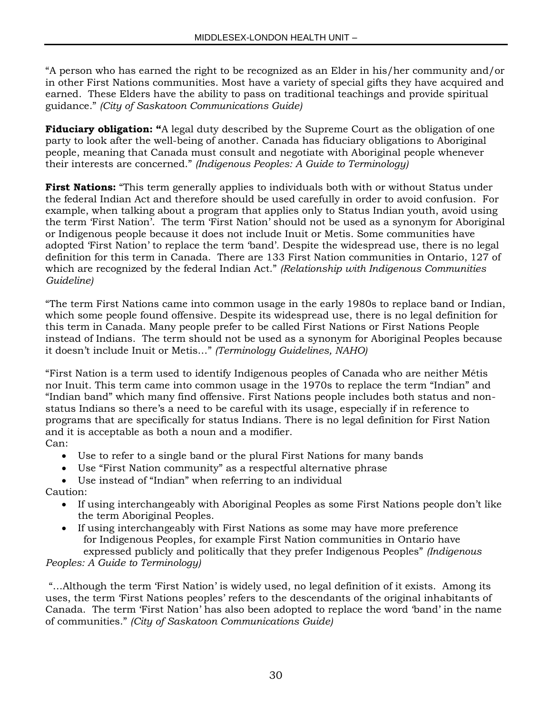"A person who has earned the right to be recognized as an Elder in his/her community and/or in other First Nations communities. Most have a variety of special gifts they have acquired and earned. These Elders have the ability to pass on traditional teachings and provide spiritual guidance." *(City of Saskatoon Communications Guide)*

**Fiduciary obligation:** "A legal duty described by the Supreme Court as the obligation of one party to look after the well-being of another. Canada has fiduciary obligations to Aboriginal people, meaning that Canada must consult and negotiate with Aboriginal people whenever their interests are concerned." *(Indigenous Peoples: A Guide to Terminology)*

**First Nations:** "This term generally applies to individuals both with or without Status under the federal Indian Act and therefore should be used carefully in order to avoid confusion. For example, when talking about a program that applies only to Status Indian youth, avoid using the term 'First Nation'. The term 'First Nation' should not be used as a synonym for Aboriginal or Indigenous people because it does not include Inuit or Metis. Some communities have adopted 'First Nation' to replace the term 'band'. Despite the widespread use, there is no legal definition for this term in Canada. There are 133 First Nation communities in Ontario, 127 of which are recognized by the federal Indian Act." *(Relationship with Indigenous Communities Guideline)*

"The term First Nations came into common usage in the early 1980s to replace band or Indian, which some people found offensive. Despite its widespread use, there is no legal definition for this term in Canada. Many people prefer to be called First Nations or First Nations People instead of Indians. The term should not be used as a synonym for Aboriginal Peoples because it doesn't include Inuit or Metis…" *(Terminology Guidelines, NAHO)*

"First Nation is a term used to identify Indigenous peoples of Canada who are neither Métis nor Inuit. This term came into common usage in the 1970s to replace the term "Indian" and "Indian band" which many find offensive. First Nations people includes both status and nonstatus Indians so there's a need to be careful with its usage, especially if in reference to programs that are specifically for status Indians. There is no legal definition for First Nation and it is acceptable as both a noun and a modifier. Can:

- Use to refer to a single band or the plural First Nations for many bands
- Use "First Nation community" as a respectful alternative phrase
- Use instead of "Indian" when referring to an individual Caution:
	- If using interchangeably with Aboriginal Peoples as some First Nations people don't like the term Aboriginal Peoples.
	- If using interchangeably with First Nations as some may have more preference for Indigenous Peoples, for example First Nation communities in Ontario have expressed publicly and politically that they prefer Indigenous Peoples" *(Indigenous*

#### *Peoples: A Guide to Terminology)*

"…Although the term 'First Nation' is widely used, no legal definition of it exists. Among its uses, the term 'First Nations peoples' refers to the descendants of the original inhabitants of Canada. The term 'First Nation' has also been adopted to replace the word 'band' in the name of communities." *(City of Saskatoon Communications Guide)*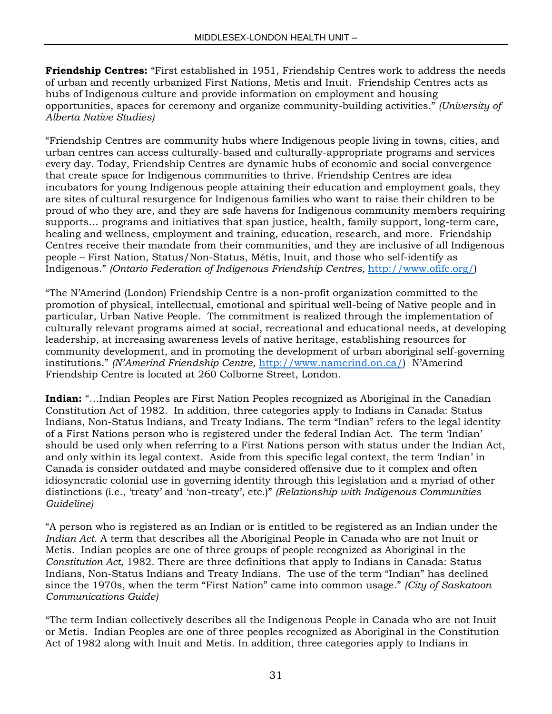**Friendship Centres:** "First established in 1951, Friendship Centres work to address the needs of urban and recently urbanized First Nations, Metis and Inuit. Friendship Centres acts as hubs of Indigenous culture and provide information on employment and housing opportunities, spaces for ceremony and organize community-building activities." *(University of Alberta Native Studies)*

"Friendship Centres are community hubs where Indigenous people living in towns, cities, and urban centres can access culturally-based and culturally-appropriate programs and services every day. Today, Friendship Centres are dynamic hubs of economic and social convergence that create space for Indigenous communities to thrive. Friendship Centres are idea incubators for young Indigenous people attaining their education and employment goals, they are sites of cultural resurgence for Indigenous families who want to raise their children to be proud of who they are, and they are safe havens for Indigenous community members requiring supports… programs and initiatives that span justice, health, family support, long-term care, healing and wellness, employment and training, education, research, and more. Friendship Centres receive their mandate from their communities, and they are inclusive of all Indigenous people – First Nation, Status/Non-Status, Métis, Inuit, and those who self-identify as Indigenous." *(Ontario Federation of Indigenous Friendship Centres,* [http://www.ofifc.org/\)](http://www.ofifc.org/)

"The N'Amerind (London) Friendship Centre is a non-profit organization committed to the promotion of physical, intellectual, emotional and spiritual well-being of Native people and in particular, Urban Native People. The commitment is realized through the implementation of culturally relevant programs aimed at social, recreational and educational needs, at developing leadership, at increasing awareness levels of native heritage, establishing resources for community development, and in promoting the development of urban aboriginal self-governing institutions." *(N'Amerind Friendship Centre,* <http://www.namerind.on.ca/>) N'Amerind Friendship Centre is located at 260 Colborne Street, London.

**Indian:** "…Indian Peoples are First Nation Peoples recognized as Aboriginal in the Canadian Constitution Act of 1982. In addition, three categories apply to Indians in Canada: Status Indians, Non-Status Indians, and Treaty Indians. The term "Indian" refers to the legal identity of a First Nations person who is registered under the federal Indian Act. The term 'Indian' should be used only when referring to a First Nations person with status under the Indian Act, and only within its legal context. Aside from this specific legal context, the term 'Indian' in Canada is consider outdated and maybe considered offensive due to it complex and often idiosyncratic colonial use in governing identity through this legislation and a myriad of other distinctions (i.e., 'treaty' and 'non-treaty', etc.)" *(Relationship with Indigenous Communities Guideline)*

"A person who is registered as an Indian or is entitled to be registered as an Indian under the *Indian Act*. A term that describes all the Aboriginal People in Canada who are not Inuit or Metis. Indian peoples are one of three groups of people recognized as Aboriginal in the *Constitution Act,* 1982. There are three definitions that apply to Indians in Canada: Status Indians, Non-Status Indians and Treaty Indians. The use of the term "Indian" has declined since the 1970s, when the term "First Nation" came into common usage." *(City of Saskatoon Communications Guide)*

"The term Indian collectively describes all the Indigenous People in Canada who are not Inuit or Metis. Indian Peoples are one of three peoples recognized as Aboriginal in the Constitution Act of 1982 along with Inuit and Metis. In addition, three categories apply to Indians in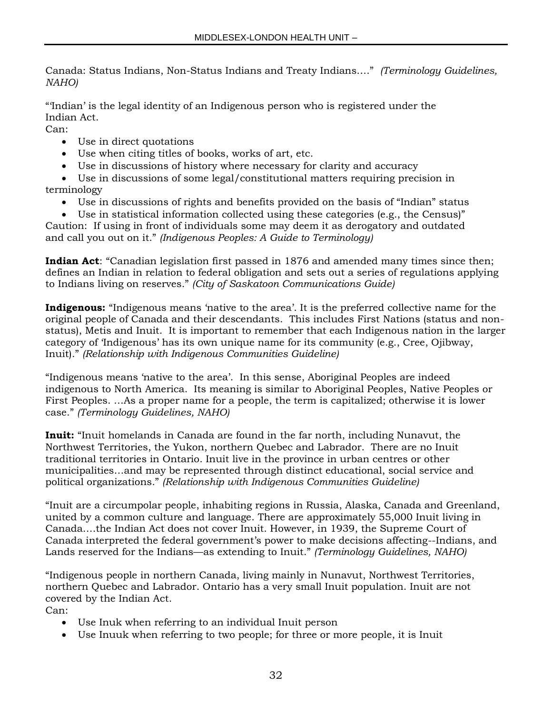Canada: Status Indians, Non-Status Indians and Treaty Indians…." *(Terminology Guidelines, NAHO)*

"'Indian' is the legal identity of an Indigenous person who is registered under the Indian Act.

Can:

- Use in direct quotations
- Use when citing titles of books, works of art, etc.
- Use in discussions of history where necessary for clarity and accuracy
- Use in discussions of some legal/constitutional matters requiring precision in terminology
	- Use in discussions of rights and benefits provided on the basis of "Indian" status
	- Use in statistical information collected using these categories (e.g., the Census)"

Caution: If using in front of individuals some may deem it as derogatory and outdated and call you out on it." *(Indigenous Peoples: A Guide to Terminology)*

**Indian Act**: "Canadian legislation first passed in 1876 and amended many times since then; defines an Indian in relation to federal obligation and sets out a series of regulations applying to Indians living on reserves." *(City of Saskatoon Communications Guide)*

**Indigenous:** "Indigenous means 'native to the area'. It is the preferred collective name for the original people of Canada and their descendants. This includes First Nations (status and nonstatus), Metis and Inuit. It is important to remember that each Indigenous nation in the larger category of 'Indigenous' has its own unique name for its community (e.g., Cree, Ojibway, Inuit)." *(Relationship with Indigenous Communities Guideline)*

"Indigenous means 'native to the area'. In this sense, Aboriginal Peoples are indeed indigenous to North America. Its meaning is similar to Aboriginal Peoples, Native Peoples or First Peoples. …As a proper name for a people, the term is capitalized; otherwise it is lower case." *(Terminology Guidelines, NAHO)*

**Inuit:** "Inuit homelands in Canada are found in the far north, including Nunavut, the Northwest Territories, the Yukon, northern Quebec and Labrador. There are no Inuit traditional territories in Ontario. Inuit live in the province in urban centres or other municipalities…and may be represented through distinct educational, social service and political organizations." *(Relationship with Indigenous Communities Guideline)*

"Inuit are a circumpolar people, inhabiting regions in Russia, Alaska, Canada and Greenland, united by a common culture and language. There are approximately 55,000 Inuit living in Canada….the Indian Act does not cover Inuit. However, in 1939, the Supreme Court of Canada interpreted the federal government's power to make decisions affecting--Indians, and Lands reserved for the Indians—as extending to Inuit." *(Terminology Guidelines, NAHO)*

"Indigenous people in northern Canada, living mainly in Nunavut, Northwest Territories, northern Quebec and Labrador. Ontario has a very small Inuit population. Inuit are not covered by the Indian Act.

Can:

- Use Inuk when referring to an individual Inuit person
- Use Inuuk when referring to two people; for three or more people, it is Inuit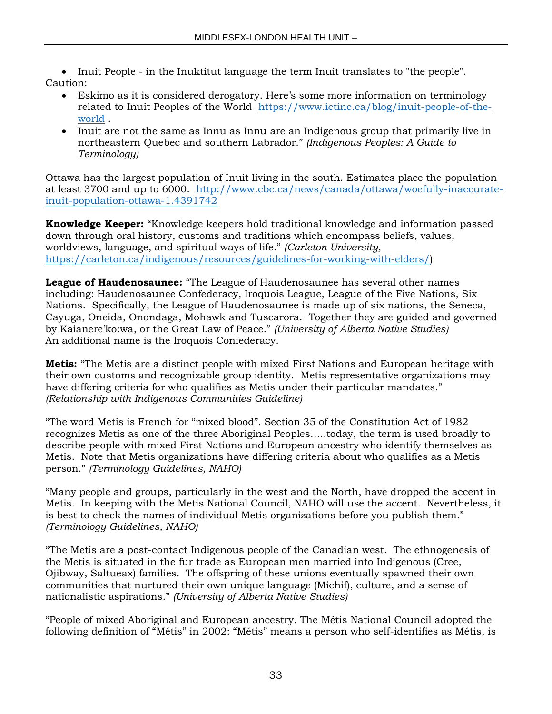• Inuit People - in the Inuktitut language the term Inuit translates to "the people". Caution:

- Eskimo as it is considered derogatory. Here's some more information on terminology related to Inuit Peoples of the World [https://www.ictinc.ca/blog/inuit-people-of-the](https://www.ictinc.ca/blog/inuit-people-of-the-world)[world](https://www.ictinc.ca/blog/inuit-people-of-the-world) .
- Inuit are not the same as Innu as Innu are an Indigenous group that primarily live in northeastern Quebec and southern Labrador." *(Indigenous Peoples: A Guide to Terminology)*

Ottawa has the largest population of Inuit living in the south. Estimates place the population at least 3700 and up to 6000. [http://www.cbc.ca/news/canada/ottawa/woefully-inaccurate](http://www.cbc.ca/news/canada/ottawa/woefully-inaccurate-inuit-population-ottawa-1.4391742)[inuit-population-ottawa-1.4391742](http://www.cbc.ca/news/canada/ottawa/woefully-inaccurate-inuit-population-ottawa-1.4391742)

**Knowledge Keeper:** "Knowledge keepers hold traditional knowledge and information passed down through oral history, customs and traditions which encompass beliefs, values, worldviews, language, and spiritual ways of life." *(Carleton University,*  [https://carleton.ca/indigenous/resources/guidelines-for-working-with-elders/\)](https://carleton.ca/indigenous/resources/guidelines-for-working-with-elders/)

**League of Haudenosaunee:** "The League of Haudenosaunee has several other names including: Haudenosaunee Confederacy, Iroquois League, League of the Five Nations, Six Nations. Specifically, the League of Haudenosaunee is made up of six nations, the Seneca, Cayuga, Oneida, Onondaga, Mohawk and Tuscarora. Together they are guided and governed by Kaianere'ko:wa, or the Great Law of Peace." *(University of Alberta Native Studies)* An additional name is the Iroquois Confederacy.

**Metis:** "The Metis are a distinct people with mixed First Nations and European heritage with their own customs and recognizable group identity. Metis representative organizations may have differing criteria for who qualifies as Metis under their particular mandates." *(Relationship with Indigenous Communities Guideline)*

"The word Metis is French for "mixed blood". Section 35 of the Constitution Act of 1982 recognizes Metis as one of the three Aboriginal Peoples…..today, the term is used broadly to describe people with mixed First Nations and European ancestry who identify themselves as Metis. Note that Metis organizations have differing criteria about who qualifies as a Metis person." *(Terminology Guidelines, NAHO)*

"Many people and groups, particularly in the west and the North, have dropped the accent in Metis. In keeping with the Metis National Council, NAHO will use the accent. Nevertheless, it is best to check the names of individual Metis organizations before you publish them." *(Terminology Guidelines, NAHO)*

"The Metis are a post-contact Indigenous people of the Canadian west. The ethnogenesis of the Metis is situated in the fur trade as European men married into Indigenous (Cree, Ojibway, Saltueax) families. The offspring of these unions eventually spawned their own communities that nurtured their own unique language (Michif), culture, and a sense of nationalistic aspirations." *(University of Alberta Native Studies)*

"People of mixed Aboriginal and European ancestry. The Métis National Council adopted the following definition of "Métis" in 2002: "Métis" means a person who self-identifies as Métis, is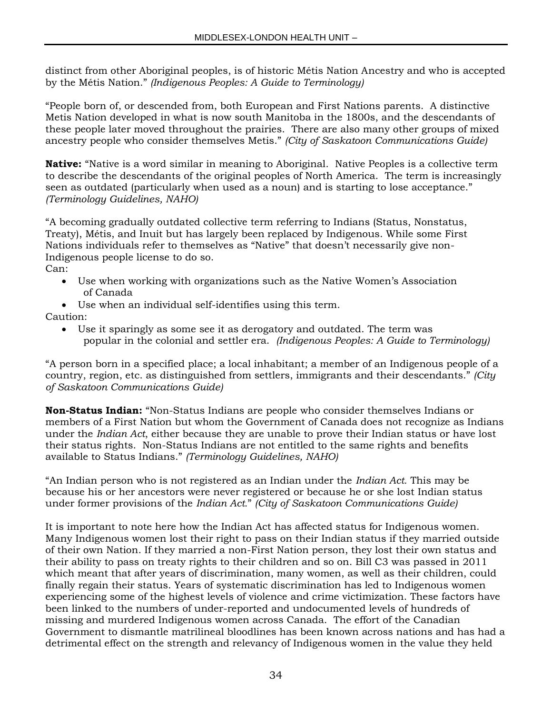distinct from other Aboriginal peoples, is of historic Métis Nation Ancestry and who is accepted by the Métis Nation." *(Indigenous Peoples: A Guide to Terminology)*

"People born of, or descended from, both European and First Nations parents. A distinctive Metis Nation developed in what is now south Manitoba in the 1800s, and the descendants of these people later moved throughout the prairies. There are also many other groups of mixed ancestry people who consider themselves Metis." *(City of Saskatoon Communications Guide)*

**Native:** "Native is a word similar in meaning to Aboriginal. Native Peoples is a collective term to describe the descendants of the original peoples of North America. The term is increasingly seen as outdated (particularly when used as a noun) and is starting to lose acceptance." *(Terminology Guidelines, NAHO)*

"A becoming gradually outdated collective term referring to Indians (Status, Nonstatus, Treaty), Métis, and Inuit but has largely been replaced by Indigenous. While some First Nations individuals refer to themselves as "Native" that doesn't necessarily give non-Indigenous people license to do so.

- Can:
	- Use when working with organizations such as the Native Women's Association of Canada
	- Use when an individual self-identifies using this term.

Caution:

 Use it sparingly as some see it as derogatory and outdated. The term was popular in the colonial and settler era. *(Indigenous Peoples: A Guide to Terminology)*

"A person born in a specified place; a local inhabitant; a member of an Indigenous people of a country, region, etc. as distinguished from settlers, immigrants and their descendants." *(City of Saskatoon Communications Guide)*

**Non-Status Indian:** "Non-Status Indians are people who consider themselves Indians or members of a First Nation but whom the Government of Canada does not recognize as Indians under the *Indian Act*, either because they are unable to prove their Indian status or have lost their status rights. Non-Status Indians are not entitled to the same rights and benefits available to Status Indians." *(Terminology Guidelines, NAHO)*

"An Indian person who is not registered as an Indian under the *Indian Act.* This may be because his or her ancestors were never registered or because he or she lost Indian status under former provisions of the *Indian Act.*" *(City of Saskatoon Communications Guide)*

It is important to note here how the Indian Act has affected status for Indigenous women. Many Indigenous women lost their right to pass on their Indian status if they married outside of their own Nation. If they married a non-First Nation person, they lost their own status and their ability to pass on treaty rights to their children and so on. Bill C3 was passed in 2011 which meant that after years of discrimination, many women, as well as their children, could finally regain their status. Years of systematic discrimination has led to Indigenous women experiencing some of the highest levels of violence and crime victimization. These factors have been linked to the numbers of under-reported and undocumented levels of hundreds of missing and murdered Indigenous women across Canada. The effort of the Canadian Government to dismantle matrilineal bloodlines has been known across nations and has had a detrimental effect on the strength and relevancy of Indigenous women in the value they held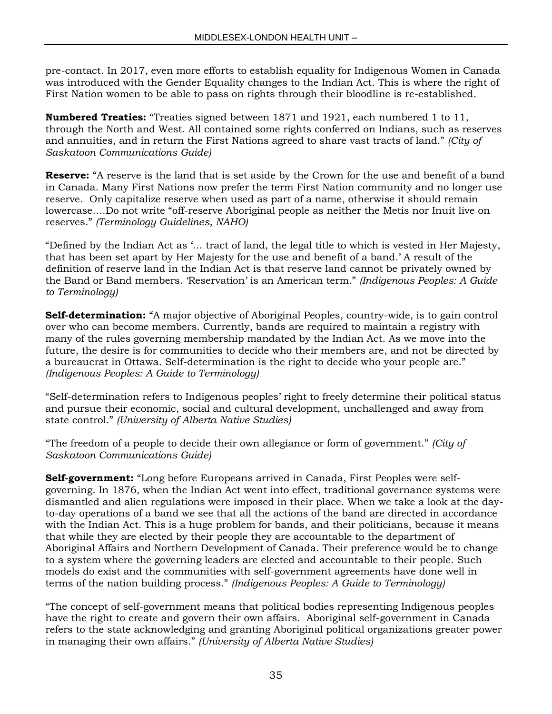pre-contact. In 2017, even more efforts to establish equality for Indigenous Women in Canada was introduced with the Gender Equality changes to the Indian Act. This is where the right of First Nation women to be able to pass on rights through their bloodline is re-established.

**Numbered Treaties:** "Treaties signed between 1871 and 1921, each numbered 1 to 11, through the North and West. All contained some rights conferred on Indians, such as reserves and annuities, and in return the First Nations agreed to share vast tracts of land." *(City of Saskatoon Communications Guide)*

**Reserve:** "A reserve is the land that is set aside by the Crown for the use and benefit of a band in Canada. Many First Nations now prefer the term First Nation community and no longer use reserve. Only capitalize reserve when used as part of a name, otherwise it should remain lowercase….Do not write "off-reserve Aboriginal people as neither the Metis nor Inuit live on reserves." *(Terminology Guidelines, NAHO)*

"Defined by the Indian Act as '… tract of land, the legal title to which is vested in Her Majesty, that has been set apart by Her Majesty for the use and benefit of a band.' A result of the definition of reserve land in the Indian Act is that reserve land cannot be privately owned by the Band or Band members. 'Reservation' is an American term." *(Indigenous Peoples: A Guide to Terminology)*

**Self-determination:** "A major objective of Aboriginal Peoples, country-wide, is to gain control over who can become members. Currently, bands are required to maintain a registry with many of the rules governing membership mandated by the Indian Act. As we move into the future, the desire is for communities to decide who their members are, and not be directed by a bureaucrat in Ottawa. Self-determination is the right to decide who your people are." *(Indigenous Peoples: A Guide to Terminology)*

"Self-determination refers to Indigenous peoples' right to freely determine their political status and pursue their economic, social and cultural development, unchallenged and away from state control." *(University of Alberta Native Studies)*

"The freedom of a people to decide their own allegiance or form of government." *(City of Saskatoon Communications Guide)*

**Self-government:** "Long before Europeans arrived in Canada, First Peoples were selfgoverning. In 1876, when the Indian Act went into effect, traditional governance systems were dismantled and alien regulations were imposed in their place. When we take a look at the dayto-day operations of a band we see that all the actions of the band are directed in accordance with the Indian Act. This is a huge problem for bands, and their politicians, because it means that while they are elected by their people they are accountable to the department of Aboriginal Affairs and Northern Development of Canada. Their preference would be to change to a system where the governing leaders are elected and accountable to their people. Such models do exist and the communities with self-government agreements have done well in terms of the nation building process." *(Indigenous Peoples: A Guide to Terminology)*

"The concept of self-government means that political bodies representing Indigenous peoples have the right to create and govern their own affairs. Aboriginal self-government in Canada refers to the state acknowledging and granting Aboriginal political organizations greater power in managing their own affairs." *(University of Alberta Native Studies)*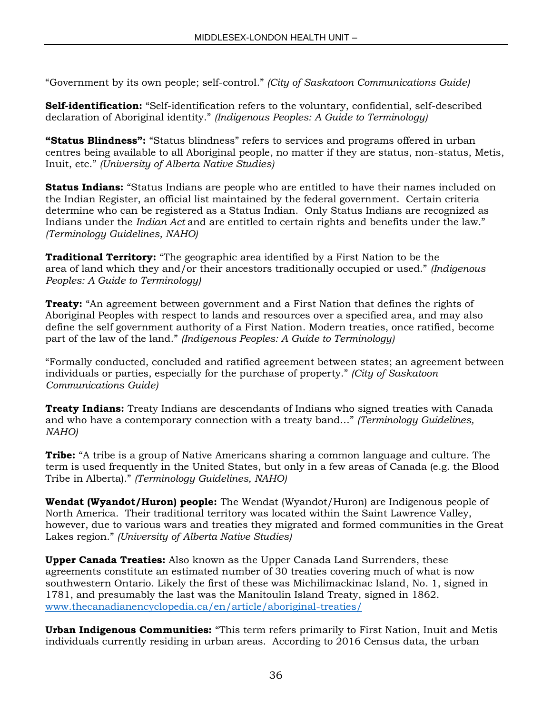"Government by its own people; self-control." *(City of Saskatoon Communications Guide)*

**Self-identification:** "Self-identification refers to the voluntary, confidential, self-described declaration of Aboriginal identity." *(Indigenous Peoples: A Guide to Terminology)*

**"Status Blindness":** "Status blindness" refers to services and programs offered in urban centres being available to all Aboriginal people, no matter if they are status, non-status, Metis, Inuit, etc." *(University of Alberta Native Studies)*

**Status Indians:** "Status Indians are people who are entitled to have their names included on the Indian Register, an official list maintained by the federal government. Certain criteria determine who can be registered as a Status Indian. Only Status Indians are recognized as Indians under the *Indian Act* and are entitled to certain rights and benefits under the law." *(Terminology Guidelines, NAHO)*

**Traditional Territory:** "The geographic area identified by a First Nation to be the area of land which they and/or their ancestors traditionally occupied or used." *(Indigenous Peoples: A Guide to Terminology)*

**Treaty:** "An agreement between government and a First Nation that defines the rights of Aboriginal Peoples with respect to lands and resources over a specified area, and may also define the self government authority of a First Nation. Modern treaties, once ratified, become part of the law of the land." *(Indigenous Peoples: A Guide to Terminology)*

"Formally conducted, concluded and ratified agreement between states; an agreement between individuals or parties, especially for the purchase of property." *(City of Saskatoon Communications Guide)*

**Treaty Indians:** Treaty Indians are descendants of Indians who signed treaties with Canada and who have a contemporary connection with a treaty band…" *(Terminology Guidelines, NAHO)*

**Tribe:** "A tribe is a group of Native Americans sharing a common language and culture. The term is used frequently in the United States, but only in a few areas of Canada (e.g. the Blood Tribe in Alberta)." *(Terminology Guidelines, NAHO)*

**Wendat (Wyandot/Huron) people:** The Wendat (Wyandot/Huron) are Indigenous people of North America. Their traditional territory was located within the Saint Lawrence Valley, however, due to various wars and treaties they migrated and formed communities in the Great Lakes region." *(University of Alberta Native Studies)*

**Upper Canada Treaties:** Also known as the Upper Canada Land Surrenders, these agreements constitute an estimated number of 30 treaties covering much of what is now southwestern Ontario. Likely the first of these was Michilimackinac Island, No. 1, signed in 1781, and presumably the last was the Manitoulin Island Treaty, signed in 1862. [www.thecanadianencyclopedia.ca/en/article/aboriginal-treaties/](http://www.thecanadianencyclopedia.ca/en/article/aboriginal-treaties/)

**Urban Indigenous Communities:** "This term refers primarily to First Nation, Inuit and Metis individuals currently residing in urban areas. According to 2016 Census data, the urban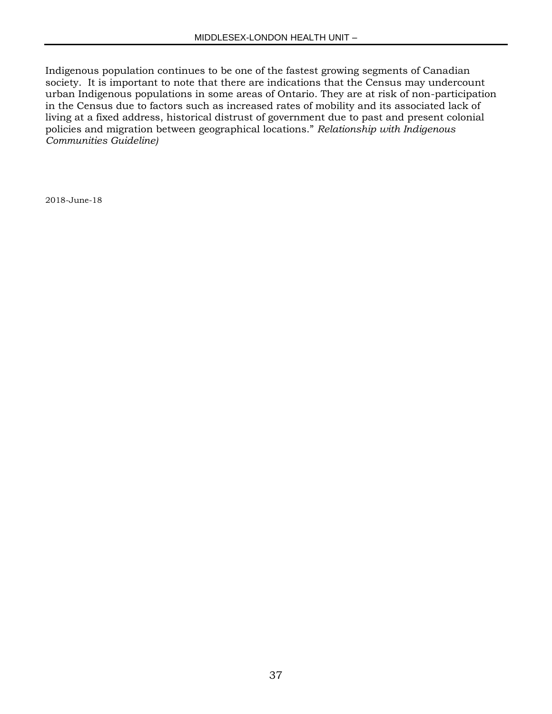Indigenous population continues to be one of the fastest growing segments of Canadian society. It is important to note that there are indications that the Census may undercount urban Indigenous populations in some areas of Ontario. They are at risk of non-participation in the Census due to factors such as increased rates of mobility and its associated lack of living at a fixed address, historical distrust of government due to past and present colonial policies and migration between geographical locations." *Relationship with Indigenous Communities Guideline)*

2018-June-18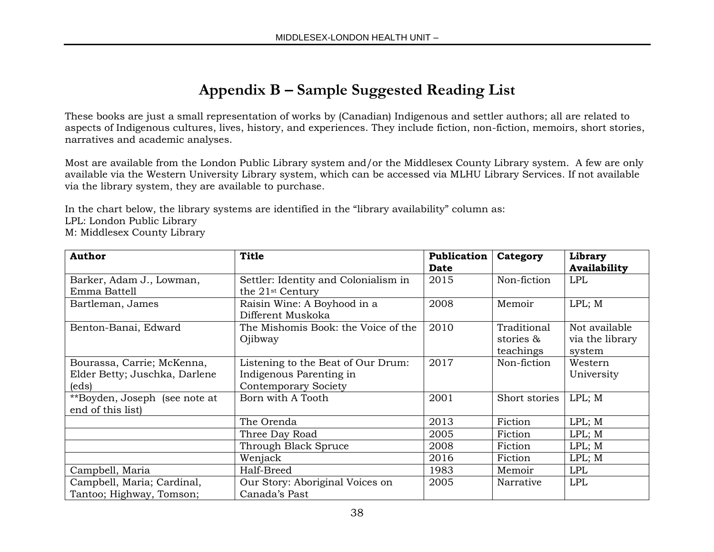## **Appendix B – Sample Suggested Reading List**

These books are just a small representation of works by (Canadian) Indigenous and settler authors; all are related to aspects of Indigenous cultures, lives, history, and experiences. They include fiction, non-fiction, memoirs, short stories, narratives and academic analyses.

Most are available from the London Public Library system and/or the Middlesex County Library system. A few are only available via the Western University Library system, which can be accessed via MLHU Library Services. If not available via the library system, they are available to purchase.

In the chart below, the library systems are identified in the "library availability" column as: LPL: London Public Library M: Middlesex County Library

| <b>Author</b>                                                        | <b>Title</b>                                                                                 | Publication | Category                              | Library                                    |
|----------------------------------------------------------------------|----------------------------------------------------------------------------------------------|-------------|---------------------------------------|--------------------------------------------|
|                                                                      |                                                                                              | <b>Date</b> |                                       | <b>Availability</b>                        |
| Barker, Adam J., Lowman,<br>Emma Battell                             | Settler: Identity and Colonialism in<br>the 21 <sup>st</sup> Century                         | 2015        | Non-fiction                           | <b>LPL</b>                                 |
| Bartleman, James                                                     | Raisin Wine: A Boyhood in a<br>Different Muskoka                                             | 2008        | Memoir                                | LPL; M                                     |
| Benton-Banai, Edward                                                 | The Mishomis Book: the Voice of the<br>Ojibway                                               | 2010        | Traditional<br>stories &<br>teachings | Not available<br>via the library<br>system |
| Bourassa, Carrie; McKenna,<br>Elder Betty; Juschka, Darlene<br>(eds) | Listening to the Beat of Our Drum:<br>Indigenous Parenting in<br><b>Contemporary Society</b> | 2017        | Non-fiction                           | Western<br>University                      |
| **Boyden, Joseph (see note at<br>end of this list)                   | Born with A Tooth                                                                            | 2001        | Short stories                         | LPL; M                                     |
|                                                                      | The Orenda                                                                                   | 2013        | Fiction                               | LPL; M                                     |
|                                                                      | Three Day Road                                                                               | 2005        | Fiction                               | LPL; M                                     |
|                                                                      | Through Black Spruce                                                                         | 2008        | Fiction                               | LPL; M                                     |
|                                                                      | Wenjack                                                                                      | 2016        | Fiction                               | LPL; M                                     |
| Campbell, Maria                                                      | Half-Breed                                                                                   | 1983        | Memoir                                | <b>LPL</b>                                 |
| Campbell, Maria; Cardinal,<br>Tantoo; Highway, Tomson;               | Our Story: Aboriginal Voices on<br>Canada's Past                                             | 2005        | Narrative                             | <b>LPL</b>                                 |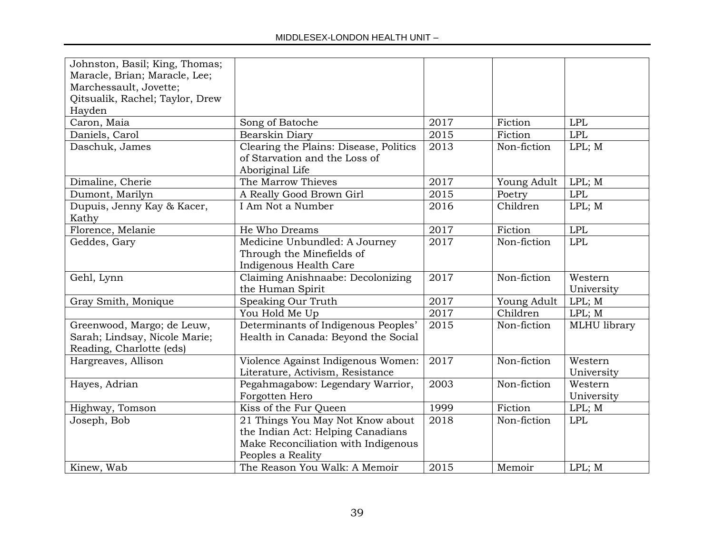| Johnston, Basil; King, Thomas;<br>Maracle, Brian; Maracle, Lee; |                                        |      |             |              |
|-----------------------------------------------------------------|----------------------------------------|------|-------------|--------------|
| Marchessault, Jovette;                                          |                                        |      |             |              |
| Qitsualik, Rachel; Taylor, Drew                                 |                                        |      |             |              |
| Hayden                                                          |                                        |      |             |              |
| Caron, Maia                                                     | Song of Batoche                        | 2017 | Fiction     | <b>LPL</b>   |
| Daniels, Carol                                                  | Bearskin Diary                         | 2015 | Fiction     | <b>LPL</b>   |
| Daschuk, James                                                  | Clearing the Plains: Disease, Politics | 2013 | Non-fiction | LPL; M       |
|                                                                 | of Starvation and the Loss of          |      |             |              |
|                                                                 | Aboriginal Life                        |      |             |              |
| Dimaline, Cherie                                                | The Marrow Thieves                     | 2017 | Young Adult | LPL; M       |
| Dumont, Marilyn                                                 | A Really Good Brown Girl               | 2015 | Poetry      | <b>LPL</b>   |
| Dupuis, Jenny Kay & Kacer,                                      | I Am Not a Number                      | 2016 | Children    | LPL; M       |
| Kathy                                                           |                                        |      |             |              |
| Florence, Melanie                                               | He Who Dreams                          | 2017 | Fiction     | <b>LPL</b>   |
| Geddes, Gary                                                    | Medicine Unbundled: A Journey          | 2017 | Non-fiction | <b>LPL</b>   |
|                                                                 | Through the Minefields of              |      |             |              |
|                                                                 | Indigenous Health Care                 |      |             |              |
| Gehl, Lynn                                                      | Claiming Anishnaabe: Decolonizing      | 2017 | Non-fiction | Western      |
|                                                                 | the Human Spirit                       |      |             | University   |
| Gray Smith, Monique                                             | Speaking Our Truth                     | 2017 | Young Adult | LPL; M       |
|                                                                 | You Hold Me Up                         | 2017 | Children    | LPL; M       |
| Greenwood, Margo; de Leuw,                                      | Determinants of Indigenous Peoples'    | 2015 | Non-fiction | MLHU library |
| Sarah; Lindsay, Nicole Marie;                                   | Health in Canada: Beyond the Social    |      |             |              |
| Reading, Charlotte (eds)                                        |                                        |      |             |              |
| Hargreaves, Allison                                             | Violence Against Indigenous Women:     | 2017 | Non-fiction | Western      |
|                                                                 | Literature, Activism, Resistance       |      |             | University   |
| Hayes, Adrian                                                   | Pegahmagabow: Legendary Warrior,       | 2003 | Non-fiction | Western      |
|                                                                 | Forgotten Hero                         |      |             | University   |
| Highway, Tomson                                                 | Kiss of the Fur Queen                  | 1999 | Fiction     | LPL; M       |
| Joseph, Bob                                                     | 21 Things You May Not Know about       | 2018 | Non-fiction | <b>LPL</b>   |
|                                                                 | the Indian Act: Helping Canadians      |      |             |              |
|                                                                 | Make Reconciliation with Indigenous    |      |             |              |
|                                                                 | Peoples a Reality                      |      |             |              |
| Kinew, Wab                                                      | The Reason You Walk: A Memoir          | 2015 | Memoir      | LPL; M       |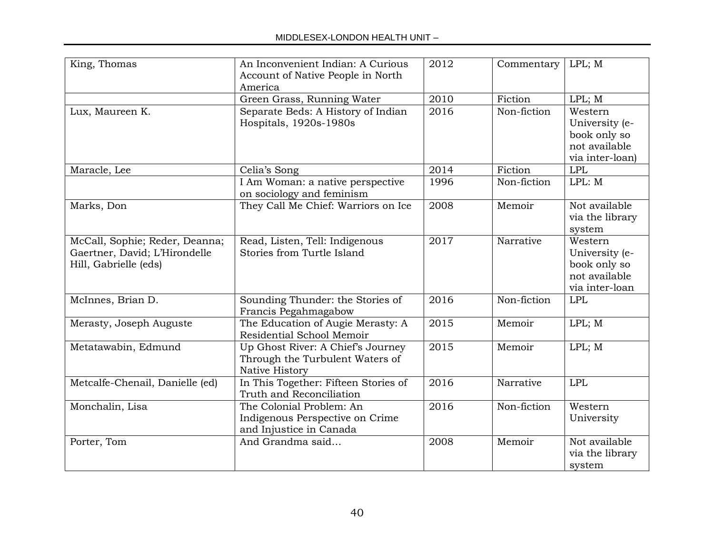| King, Thomas                                                                             | An Inconvenient Indian: A Curious<br>Account of Native People in North<br>America      | 2012 | Commentary  | LPL; M                                                                        |
|------------------------------------------------------------------------------------------|----------------------------------------------------------------------------------------|------|-------------|-------------------------------------------------------------------------------|
|                                                                                          | Green Grass, Running Water                                                             | 2010 | Fiction     | LPL; M                                                                        |
| Lux, Maureen K.                                                                          | Separate Beds: A History of Indian<br>Hospitals, 1920s-1980s                           | 2016 | Non-fiction | Western<br>University (e-<br>book only so<br>not available<br>via inter-loan) |
| Maracle, Lee                                                                             | Celia's Song                                                                           | 2014 | Fiction     | <b>LPL</b>                                                                    |
|                                                                                          | I Am Woman: a native perspective<br>on sociology and feminism                          | 1996 | Non-fiction | LPL: M                                                                        |
| Marks, Don                                                                               | They Call Me Chief: Warriors on Ice                                                    | 2008 | Memoir      | Not available<br>via the library<br>system                                    |
| McCall, Sophie; Reder, Deanna;<br>Gaertner, David; L'Hirondelle<br>Hill, Gabrielle (eds) | Read, Listen, Tell: Indigenous<br>Stories from Turtle Island                           | 2017 | Narrative   | Western<br>University (e-<br>book only so<br>not available<br>via inter-loan  |
| McInnes, Brian D.                                                                        | Sounding Thunder: the Stories of<br>Francis Pegahmagabow                               | 2016 | Non-fiction | <b>LPL</b>                                                                    |
| Merasty, Joseph Auguste                                                                  | The Education of Augie Merasty: A<br>Residential School Memoir                         | 2015 | Memoir      | LPL; M                                                                        |
| Metatawabin, Edmund                                                                      | Up Ghost River: A Chief's Journey<br>Through the Turbulent Waters of<br>Native History | 2015 | Memoir      | LPL; M                                                                        |
| Metcalfe-Chenail, Danielle (ed)                                                          | In This Together: Fifteen Stories of<br>Truth and Reconciliation                       | 2016 | Narrative   | <b>LPL</b>                                                                    |
| Monchalin, Lisa                                                                          | The Colonial Problem: An<br>Indigenous Perspective on Crime<br>and Injustice in Canada | 2016 | Non-fiction | Western<br>University                                                         |
| Porter, Tom                                                                              | And Grandma said                                                                       | 2008 | Memoir      | Not available<br>via the library<br>system                                    |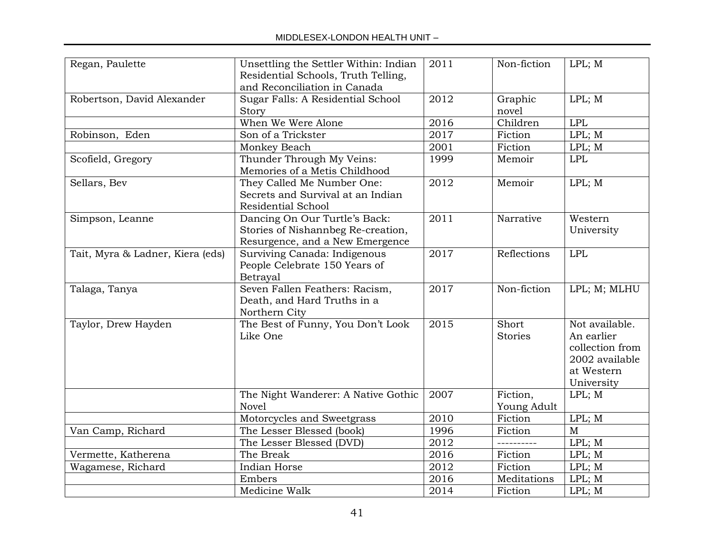| Regan, Paulette                  | Unsettling the Settler Within: Indian<br>Residential Schools, Truth Telling,<br>and Reconciliation in Canada | 2011              | Non-fiction                    | LPL; M                                                                                        |
|----------------------------------|--------------------------------------------------------------------------------------------------------------|-------------------|--------------------------------|-----------------------------------------------------------------------------------------------|
| Robertson, David Alexander       | Sugar Falls: A Residential School<br>Story                                                                   | 2012              | Graphic<br>novel               | LPL; M                                                                                        |
|                                  | When We Were Alone                                                                                           | 2016              | Children                       | <b>LPL</b>                                                                                    |
| Robinson, Eden                   | Son of a Trickster                                                                                           | 2017              | Fiction                        | LPL; M                                                                                        |
|                                  | Monkey Beach                                                                                                 | 2001              | Fiction                        | LPL; M                                                                                        |
| Scofield, Gregory                | Thunder Through My Veins:<br>Memories of a Metis Childhood                                                   | 1999              | Memoir                         | LPL                                                                                           |
| Sellars, Bev                     | They Called Me Number One:<br>Secrets and Survival at an Indian<br><b>Residential School</b>                 | 2012              | Memoir                         | LPL; M                                                                                        |
| Simpson, Leanne                  | Dancing On Our Turtle's Back:<br>Stories of Nishannbeg Re-creation,<br>Resurgence, and a New Emergence       | $\overline{2011}$ | Narrative                      | Western<br>University                                                                         |
| Tait, Myra & Ladner, Kiera (eds) | Surviving Canada: Indigenous<br>People Celebrate 150 Years of<br><b>Betrayal</b>                             | 2017              | Reflections                    | <b>LPL</b>                                                                                    |
| Talaga, Tanya                    | Seven Fallen Feathers: Racism,<br>Death, and Hard Truths in a<br>Northern City                               | 2017              | Non-fiction                    | LPL; M; MLHU                                                                                  |
| Taylor, Drew Hayden              | The Best of Funny, You Don't Look<br>Like One                                                                |                   | <b>Short</b><br><b>Stories</b> | Not available.<br>An earlier<br>collection from<br>2002 available<br>at Western<br>University |
|                                  | The Night Wanderer: A Native Gothic<br><b>Novel</b>                                                          | 2007              | Fiction,<br>Young Adult        | LPL; M                                                                                        |
|                                  | Motorcycles and Sweetgrass                                                                                   | 2010              | Fiction                        | LPL; M                                                                                        |
| Van Camp, Richard                | The Lesser Blessed (book)                                                                                    | 1996              | Fiction                        | $\mathbf M$                                                                                   |
|                                  | The Lesser Blessed (DVD)                                                                                     | 2012              | ----------                     | LPL; M                                                                                        |
| Vermette, Katherena              | The Break                                                                                                    | 2016              | Fiction                        | LPL; M                                                                                        |
| Wagamese, Richard                | Indian Horse                                                                                                 | 2012              | Fiction                        | LPL; M                                                                                        |
|                                  | Embers                                                                                                       | 2016              | Meditations                    | LPL; M                                                                                        |
|                                  | 2014                                                                                                         | Fiction           | LPL; M                         |                                                                                               |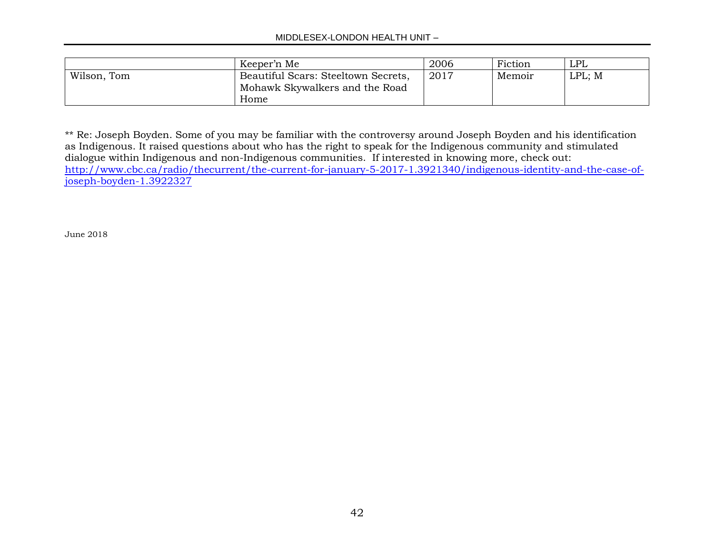#### MIDDLESEX-LONDON HEALTH UNIT –

|             | Keeper'n Me                         | 2006 | Fiction | LPL    |
|-------------|-------------------------------------|------|---------|--------|
| Wilson, Tom | Beautiful Scars: Steeltown Secrets, | 2017 | Memoir  | LPL; M |
|             | Mohawk Skywalkers and the Road      |      |         |        |
|             | Home                                |      |         |        |

\*\* Re: Joseph Boyden. Some of you may be familiar with the controversy around Joseph Boyden and his identification as Indigenous. It raised questions about who has the right to speak for the Indigenous community and stimulated dialogue within Indigenous and non-Indigenous communities. If interested in knowing more, check out: [http://www.cbc.ca/radio/thecurrent/the-current-for-january-5-2017-1.3921340/indigenous-identity-and-the-case-of](http://www.cbc.ca/radio/thecurrent/the-current-for-january-5-2017-1.3921340/indigenous-identity-and-the-case-of-joseph-boyden-1.3922327)[joseph-boyden-1.3922327](http://www.cbc.ca/radio/thecurrent/the-current-for-january-5-2017-1.3921340/indigenous-identity-and-the-case-of-joseph-boyden-1.3922327) 

June 2018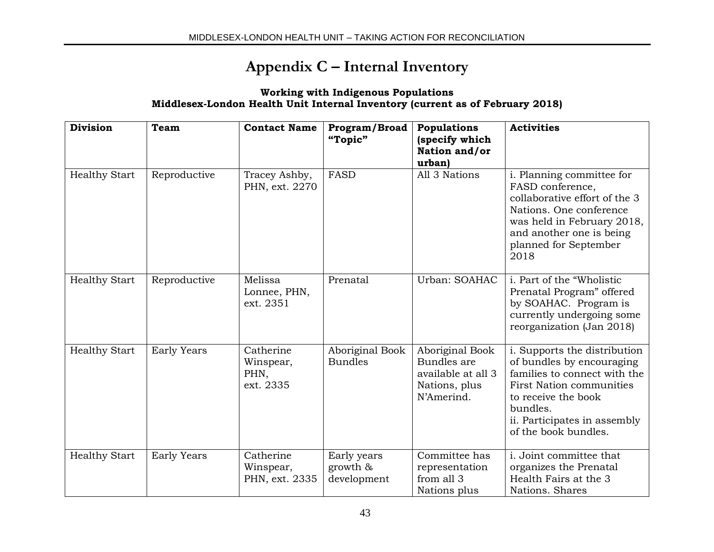## **Appendix C – Internal Inventory**

#### **Working with Indigenous Populations Middlesex-London Health Unit Internal Inventory (current as of February 2018)**

| <b>Division</b>      | Team               | <b>Contact Name</b>                         | Program/Broad<br>"Topic"                  | Populations<br>(specify which<br>Nation and/or<br>urban)                            | <b>Activities</b>                                                                                                                                                                                                       |
|----------------------|--------------------|---------------------------------------------|-------------------------------------------|-------------------------------------------------------------------------------------|-------------------------------------------------------------------------------------------------------------------------------------------------------------------------------------------------------------------------|
| <b>Healthy Start</b> | Reproductive       | Tracey Ashby,<br>PHN, ext. 2270             | <b>FASD</b>                               | All 3 Nations                                                                       | i. Planning committee for<br>FASD conference,<br>collaborative effort of the 3<br>Nations. One conference<br>was held in February 2018,<br>and another one is being<br>planned for September<br>2018                    |
| <b>Healthy Start</b> | Reproductive       | Melissa<br>Lonnee, PHN,<br>ext. 2351        | Prenatal                                  | Urban: SOAHAC                                                                       | i. Part of the "Wholistic<br>Prenatal Program" offered<br>by SOAHAC. Program is<br>currently undergoing some<br>reorganization (Jan 2018)                                                                               |
| <b>Healthy Start</b> | <b>Early Years</b> | Catherine<br>Winspear,<br>PHN,<br>ext. 2335 | Aboriginal Book<br><b>Bundles</b>         | Aboriginal Book<br>Bundles are<br>available at all 3<br>Nations, plus<br>N'Amerind. | i. Supports the distribution<br>of bundles by encouraging<br>families to connect with the<br><b>First Nation communities</b><br>to receive the book<br>bundles.<br>ii. Participates in assembly<br>of the book bundles. |
| <b>Healthy Start</b> | <b>Early Years</b> | Catherine<br>Winspear,<br>PHN, ext. 2335    | Early years<br>growth $\&$<br>development | Committee has<br>representation<br>from all 3<br>Nations plus                       | i. Joint committee that<br>organizes the Prenatal<br>Health Fairs at the 3<br>Nations. Shares                                                                                                                           |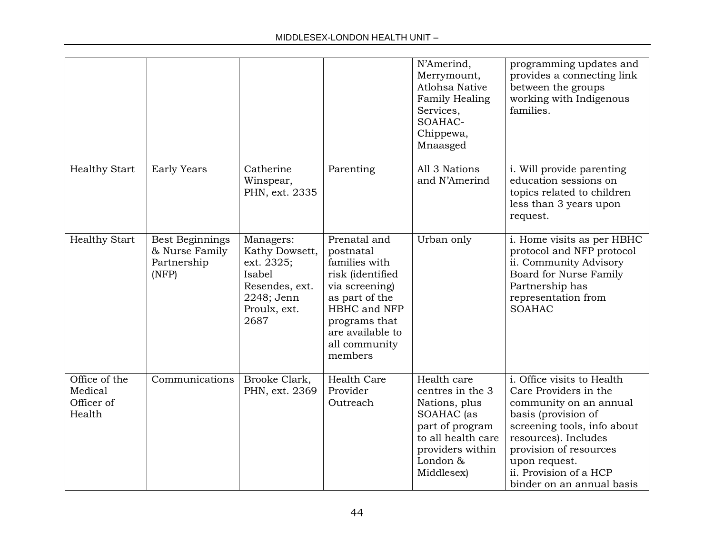|                                                  |                                                           |                                                                                                             |                                                                                                                                                                                     | N'Amerind,<br>Merrymount,<br><b>Atlohsa Native</b><br>Family Healing<br>Services,<br>SOAHAC-<br>Chippewa,<br>Mnaasged                                 | programming updates and<br>provides a connecting link<br>between the groups<br>working with Indigenous<br>families.                                                                                                                                           |
|--------------------------------------------------|-----------------------------------------------------------|-------------------------------------------------------------------------------------------------------------|-------------------------------------------------------------------------------------------------------------------------------------------------------------------------------------|-------------------------------------------------------------------------------------------------------------------------------------------------------|---------------------------------------------------------------------------------------------------------------------------------------------------------------------------------------------------------------------------------------------------------------|
| <b>Healthy Start</b>                             | <b>Early Years</b>                                        | Catherine<br>Winspear,<br>PHN, ext. 2335                                                                    | Parenting                                                                                                                                                                           | All 3 Nations<br>and N'Amerind                                                                                                                        | i. Will provide parenting<br>education sessions on<br>topics related to children<br>less than 3 years upon<br>request.                                                                                                                                        |
| <b>Healthy Start</b>                             | Best Beginnings<br>& Nurse Family<br>Partnership<br>(NFP) | Managers:<br>Kathy Dowsett,<br>ext. 2325;<br>Isabel<br>Resendes, ext.<br>2248; Jenn<br>Proulx, ext.<br>2687 | Prenatal and<br>postnatal<br>families with<br>risk (identified<br>via screening)<br>as part of the<br>HBHC and NFP<br>programs that<br>are available to<br>all community<br>members | Urban only                                                                                                                                            | i. Home visits as per HBHC<br>protocol and NFP protocol<br>ii. Community Advisory<br>Board for Nurse Family<br>Partnership has<br>representation from<br><b>SOAHAC</b>                                                                                        |
| Office of the<br>Medical<br>Officer of<br>Health | Communications                                            | Brooke Clark,<br>PHN, ext. 2369                                                                             | Health Care<br>Provider<br>Outreach                                                                                                                                                 | Health care<br>centres in the 3<br>Nations, plus<br>SOAHAC (as<br>part of program<br>to all health care<br>providers within<br>London &<br>Middlesex) | i. Office visits to Health<br>Care Providers in the<br>community on an annual<br>basis (provision of<br>screening tools, info about<br>resources). Includes<br>provision of resources<br>upon request.<br>ii. Provision of a HCP<br>binder on an annual basis |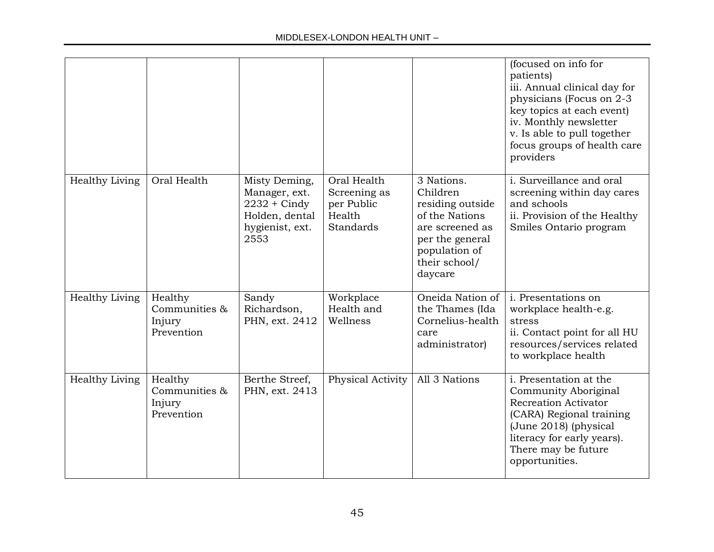|                       |                                                  |                                                                                              |                                                                         |                                                                                                                                                 | (focused on info for<br>patients)<br>iii. Annual clinical day for<br>physicians (Focus on 2-3<br>key topics at each event)<br>iv. Monthly newsletter<br>v. Is able to pull together<br>focus groups of health care<br>providers |
|-----------------------|--------------------------------------------------|----------------------------------------------------------------------------------------------|-------------------------------------------------------------------------|-------------------------------------------------------------------------------------------------------------------------------------------------|---------------------------------------------------------------------------------------------------------------------------------------------------------------------------------------------------------------------------------|
| <b>Healthy Living</b> | Oral Health                                      | Misty Deming,<br>Manager, ext.<br>$2232 + Ciny$<br>Holden, dental<br>hygienist, ext.<br>2553 | Oral Health<br>Screening as<br>per Public<br>Health<br><b>Standards</b> | 3 Nations.<br>Children<br>residing outside<br>of the Nations<br>are screened as<br>per the general<br>population of<br>their school/<br>daycare | i. Surveillance and oral<br>screening within day cares<br>and schools<br>ii. Provision of the Healthy<br>Smiles Ontario program                                                                                                 |
| Healthy Living        | Healthy<br>Communities &<br>Injury<br>Prevention | Sandy<br>Richardson,<br>PHN, ext. 2412                                                       | Workplace<br>Health and<br>Wellness                                     | Oneida Nation of<br>the Thames (Ida<br>Cornelius-health<br>care<br>administrator)                                                               | i. Presentations on<br>workplace health-e.g.<br>stress<br>ii. Contact point for all HU<br>resources/services related<br>to workplace health                                                                                     |
| Healthy Living        | Healthy<br>Communities &<br>Injury<br>Prevention | Berthe Streef,<br>PHN, ext. 2413                                                             | Physical Activity                                                       | All 3 Nations                                                                                                                                   | i. Presentation at the<br>Community Aboriginal<br><b>Recreation Activator</b><br>(CARA) Regional training<br>(June 2018) (physical<br>literacy for early years).<br>There may be future<br>opportunities.                       |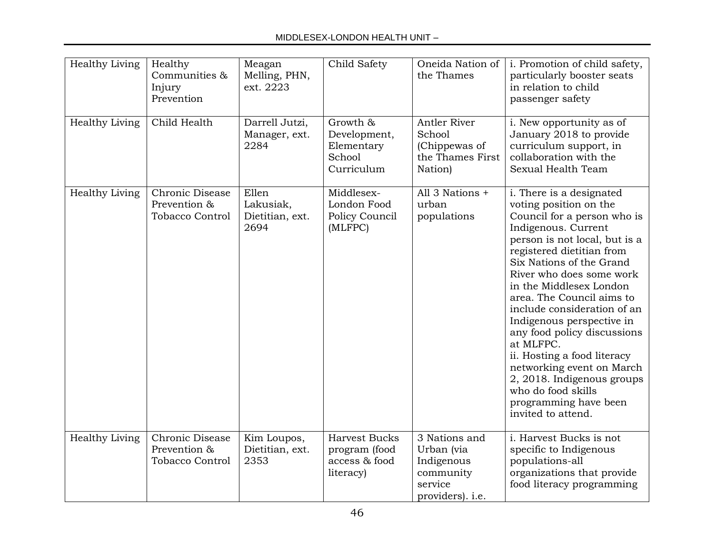| Healthy Living | Healthy<br>Communities &<br>Injury<br>Prevention          | Meagan<br>Melling, PHN,<br>ext. 2223          | Child Safety                                                        | Oneida Nation of<br>the Thames                                                        | i. Promotion of child safety,<br>particularly booster seats<br>in relation to child<br>passenger safety                                                                                                                                                                                                                                                                                                                                                                                                                                                       |
|----------------|-----------------------------------------------------------|-----------------------------------------------|---------------------------------------------------------------------|---------------------------------------------------------------------------------------|---------------------------------------------------------------------------------------------------------------------------------------------------------------------------------------------------------------------------------------------------------------------------------------------------------------------------------------------------------------------------------------------------------------------------------------------------------------------------------------------------------------------------------------------------------------|
| Healthy Living | Child Health                                              | Darrell Jutzi,<br>Manager, ext.<br>2284       | Growth &<br>Development,<br>Elementary<br>School<br>Curriculum      | Antler River<br>School<br>(Chippewas of<br>the Thames First<br>Nation)                | i. New opportunity as of<br>January 2018 to provide<br>curriculum support, in<br>collaboration with the<br>Sexual Health Team                                                                                                                                                                                                                                                                                                                                                                                                                                 |
| Healthy Living | Chronic Disease<br>Prevention &<br><b>Tobacco Control</b> | Ellen<br>Lakusiak,<br>Dietitian, ext.<br>2694 | Middlesex-<br>London Food<br>Policy Council<br>(MLFPC)              | All 3 Nations +<br>urban<br>populations                                               | i. There is a designated<br>voting position on the<br>Council for a person who is<br>Indigenous. Current<br>person is not local, but is a<br>registered dietitian from<br>Six Nations of the Grand<br>River who does some work<br>in the Middlesex London<br>area. The Council aims to<br>include consideration of an<br>Indigenous perspective in<br>any food policy discussions<br>at MLFPC.<br>ii. Hosting a food literacy<br>networking event on March<br>2, 2018. Indigenous groups<br>who do food skills<br>programming have been<br>invited to attend. |
| Healthy Living | Chronic Disease<br>Prevention &<br>Tobacco Control        | Kim Loupos,<br>Dietitian, ext.<br>2353        | <b>Harvest Bucks</b><br>program (food<br>access & food<br>literacy) | 3 Nations and<br>Urban (via<br>Indigenous<br>community<br>service<br>providers). i.e. | i. Harvest Bucks is not<br>specific to Indigenous<br>populations-all<br>organizations that provide<br>food literacy programming                                                                                                                                                                                                                                                                                                                                                                                                                               |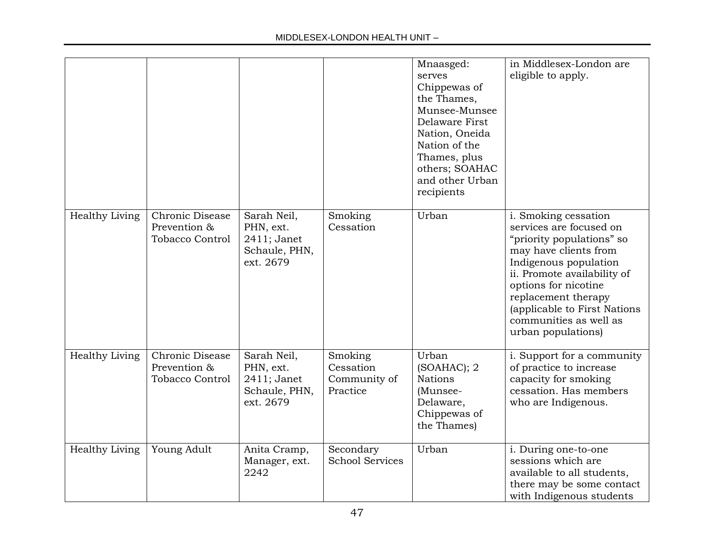#### MIDDLESEX-LONDON HEALTH UNIT –

|                       |                                                           |                                                                       |                                                  | Mnaasged:<br>serves<br>Chippewas of<br>the Thames,<br>Munsee-Munsee<br>Delaware First<br>Nation, Oneida<br>Nation of the<br>Thames, plus<br>others; SOAHAC<br>and other Urban<br>recipients | in Middlesex-London are<br>eligible to apply.                                                                                                                                                                                                                                                |
|-----------------------|-----------------------------------------------------------|-----------------------------------------------------------------------|--------------------------------------------------|---------------------------------------------------------------------------------------------------------------------------------------------------------------------------------------------|----------------------------------------------------------------------------------------------------------------------------------------------------------------------------------------------------------------------------------------------------------------------------------------------|
| <b>Healthy Living</b> | Chronic Disease<br>Prevention &<br><b>Tobacco Control</b> | Sarah Neil,<br>PHN, ext.<br>2411; Janet<br>Schaule, PHN,<br>ext. 2679 | Smoking<br>Cessation                             | Urban                                                                                                                                                                                       | i. Smoking cessation<br>services are focused on<br>"priority populations" so<br>may have clients from<br>Indigenous population<br>ii. Promote availability of<br>options for nicotine<br>replacement therapy<br>(applicable to First Nations<br>communities as well as<br>urban populations) |
| <b>Healthy Living</b> | Chronic Disease<br>Prevention &<br><b>Tobacco Control</b> | Sarah Neil,<br>PHN, ext.<br>2411; Janet<br>Schaule, PHN,<br>ext. 2679 | Smoking<br>Cessation<br>Community of<br>Practice | Urban<br>(SOAHAC); 2<br>Nations<br>(Munsee-<br>Delaware,<br>Chippewas of<br>the Thames)                                                                                                     | i. Support for a community<br>of practice to increase<br>capacity for smoking<br>cessation. Has members<br>who are Indigenous.                                                                                                                                                               |
| Healthy Living        | Young Adult                                               | Anita Cramp,<br>Manager, ext.<br>2242                                 | Secondary<br><b>School Services</b>              | Urban                                                                                                                                                                                       | i. During one-to-one<br>sessions which are<br>available to all students,<br>there may be some contact<br>with Indigenous students                                                                                                                                                            |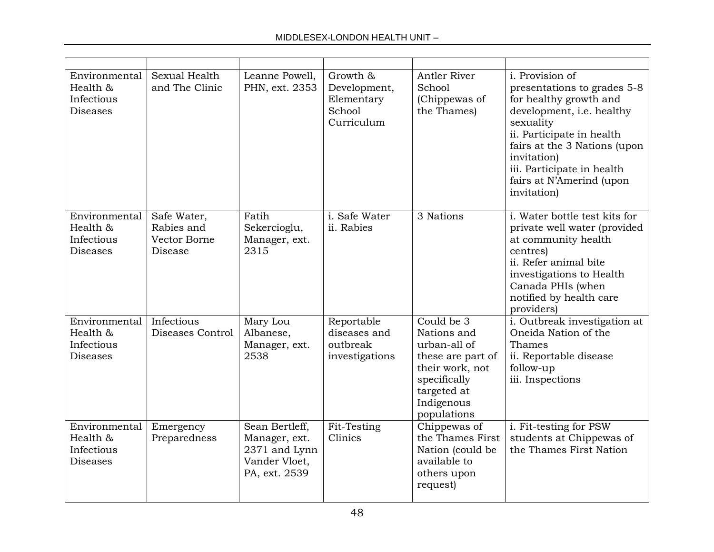| Environmental<br>Health &<br>Infectious<br><b>Diseases</b> | Sexual Health<br>and The Clinic                      | Leanne Powell,<br>PHN, ext. 2353                                                   | Growth &<br>Development,<br>Elementary<br>School<br>Curriculum | Antler River<br>School<br>(Chippewas of<br>the Thames)                                                                                        | i. Provision of<br>presentations to grades 5-8<br>for healthy growth and<br>development, i.e. healthy<br>sexuality<br>ii. Participate in health<br>fairs at the 3 Nations (upon<br>invitation)<br>iii. Participate in health<br>fairs at N'Amerind (upon<br>invitation) |
|------------------------------------------------------------|------------------------------------------------------|------------------------------------------------------------------------------------|----------------------------------------------------------------|-----------------------------------------------------------------------------------------------------------------------------------------------|-------------------------------------------------------------------------------------------------------------------------------------------------------------------------------------------------------------------------------------------------------------------------|
| Environmental<br>Health &<br>Infectious<br><b>Diseases</b> | Safe Water,<br>Rabies and<br>Vector Borne<br>Disease | Fatih<br>Sekercioglu,<br>Manager, ext.<br>2315                                     | i. Safe Water<br>ii. Rabies                                    | 3 Nations                                                                                                                                     | i. Water bottle test kits for<br>private well water (provided<br>at community health<br>centres)<br>ii. Refer animal bite<br>investigations to Health<br>Canada PHIs (when<br>notified by health care<br>providers)                                                     |
| Environmental<br>Health &<br>Infectious<br><b>Diseases</b> | Infectious<br>Diseases Control                       | Mary Lou<br>Albanese,<br>Manager, ext.<br>2538                                     | Reportable<br>diseases and<br>outbreak<br>investigations       | Could be 3<br>Nations and<br>urban-all of<br>these are part of<br>their work, not<br>specifically<br>targeted at<br>Indigenous<br>populations | i. Outbreak investigation at<br>Oneida Nation of the<br>Thames<br>ii. Reportable disease<br>follow-up<br>iii. Inspections                                                                                                                                               |
| Environmental<br>Health &<br>Infectious<br><b>Diseases</b> | Emergency<br>Preparedness                            | Sean Bertleff,<br>Manager, ext.<br>2371 and Lynn<br>Vander Vloet,<br>PA, ext. 2539 | Fit-Testing<br>Clinics                                         | Chippewas of<br>the Thames First<br>Nation (could be<br>available to<br>others upon<br>request)                                               | i. Fit-testing for PSW<br>students at Chippewas of<br>the Thames First Nation                                                                                                                                                                                           |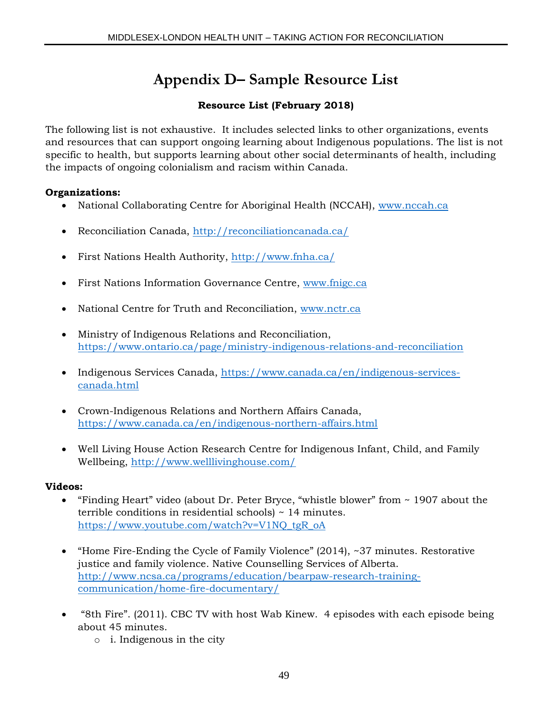## **Appendix D– Sample Resource List**

### **Resource List (February 2018)**

The following list is not exhaustive. It includes selected links to other organizations, events and resources that can support ongoing learning about Indigenous populations. The list is not specific to health, but supports learning about other social determinants of health, including the impacts of ongoing colonialism and racism within Canada.

#### **Organizations:**

- National Collaborating Centre for Aboriginal Health (NCCAH), [www.nccah.ca](http://www.nccah.ca/)
- Reconciliation Canada,<http://reconciliationcanada.ca/>
- First Nations Health Authority,<http://www.fnha.ca/>
- First Nations Information Governance Centre, [www.fnigc.ca](http://www.fnigc.ca/)
- National Centre for Truth and Reconciliation, [www.nctr.ca](http://www.nctr.ca/)
- Ministry of Indigenous Relations and Reconciliation, <https://www.ontario.ca/page/ministry-indigenous-relations-and-reconciliation>
- Indigenous Services Canada, [https://www.canada.ca/en/indigenous-services](https://www.canada.ca/en/indigenous-services-canada.html)[canada.html](https://www.canada.ca/en/indigenous-services-canada.html)
- Crown-Indigenous Relations and Northern Affairs Canada, <https://www.canada.ca/en/indigenous-northern-affairs.html>
- Well Living House Action Research Centre for Indigenous Infant, Child, and Family Wellbeing,<http://www.welllivinghouse.com/>

### **Videos:**

- "Finding Heart" video (about Dr. Peter Bryce, "whistle blower" from ~ 1907 about the terrible conditions in residential schools) ~ 14 minutes. [https://www.youtube.com/watch?v=V1NQ\\_tgR\\_oA](https://www.youtube.com/watch?v=V1NQ_tgR_oA)
- "Home Fire-Ending the Cycle of Family Violence" (2014), ~37 minutes. Restorative justice and family violence. Native Counselling Services of Alberta. [http://www.ncsa.ca/programs/education/bearpaw-research-training](http://www.ncsa.ca/programs/education/bearpaw-research-training-communication/home-fire-documentary/)[communication/home-fire-documentary/](http://www.ncsa.ca/programs/education/bearpaw-research-training-communication/home-fire-documentary/)
- "8th Fire". (2011). CBC TV with host Wab Kinew. 4 episodes with each episode being about 45 minutes.
	- o i. Indigenous in the city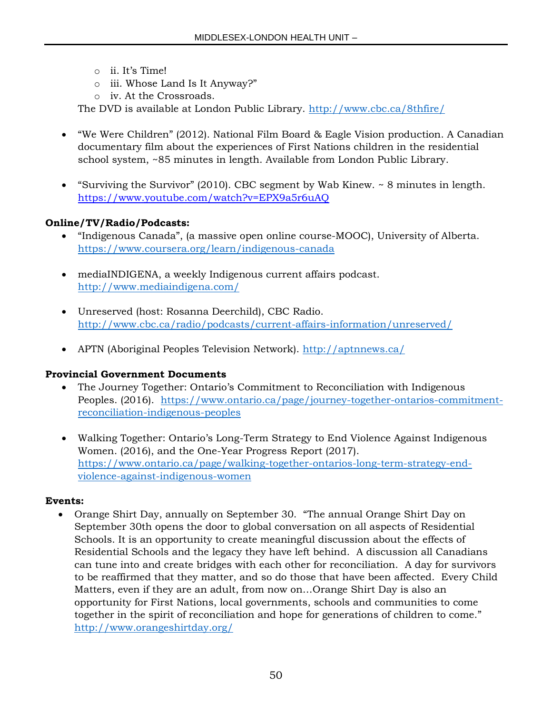- o ii. It's Time!
- o iii. Whose Land Is It Anyway?"
- o iv. At the Crossroads.

The DVD is available at London Public Library.<http://www.cbc.ca/8thfire/>

- "We Were Children" (2012). National Film Board & Eagle Vision production. A Canadian documentary film about the experiences of First Nations children in the residential school system, ~85 minutes in length. Available from London Public Library.
- "Surviving the Survivor" (2010). CBC segment by Wab Kinew. ~ 8 minutes in length. <https://www.youtube.com/watch?v=EPX9a5r6uAQ>

#### **Online/TV/Radio/Podcasts:**

- "Indigenous Canada", (a massive open online course-MOOC), University of Alberta. <https://www.coursera.org/learn/indigenous-canada>
- mediaINDIGENA, a weekly Indigenous current affairs podcast. <http://www.mediaindigena.com/>
- Unreserved (host: Rosanna Deerchild), CBC Radio. <http://www.cbc.ca/radio/podcasts/current-affairs-information/unreserved/>
- APTN (Aboriginal Peoples Television Network).<http://aptnnews.ca/>

#### **Provincial Government Documents**

- The Journey Together: Ontario's Commitment to Reconciliation with Indigenous Peoples. (2016). [https://www.ontario.ca/page/journey-together-ontarios-commitment](https://www.ontario.ca/page/journey-together-ontarios-commitment-reconciliation-indigenous-peoples)[reconciliation-indigenous-peoples](https://www.ontario.ca/page/journey-together-ontarios-commitment-reconciliation-indigenous-peoples)
- Walking Together: Ontario's Long-Term Strategy to End Violence Against Indigenous Women. (2016), and the One-Year Progress Report (2017). [https://www.ontario.ca/page/walking-together-ontarios-long-term-strategy-end](https://www.ontario.ca/page/walking-together-ontarios-long-term-strategy-end-violence-against-indigenous-women)[violence-against-indigenous-women](https://www.ontario.ca/page/walking-together-ontarios-long-term-strategy-end-violence-against-indigenous-women)

#### **Events:**

 Orange Shirt Day, annually on September 30. "The annual Orange Shirt Day on September 30th opens the door to global conversation on all aspects of Residential Schools. It is an opportunity to create meaningful discussion about the effects of Residential Schools and the legacy they have left behind. A discussion all Canadians can tune into and create bridges with each other for reconciliation. A day for survivors to be reaffirmed that they matter, and so do those that have been affected. Every Child Matters, even if they are an adult, from now on…Orange Shirt Day is also an opportunity for First Nations, local governments, schools and communities to come together in the spirit of reconciliation and hope for generations of children to come." <http://www.orangeshirtday.org/>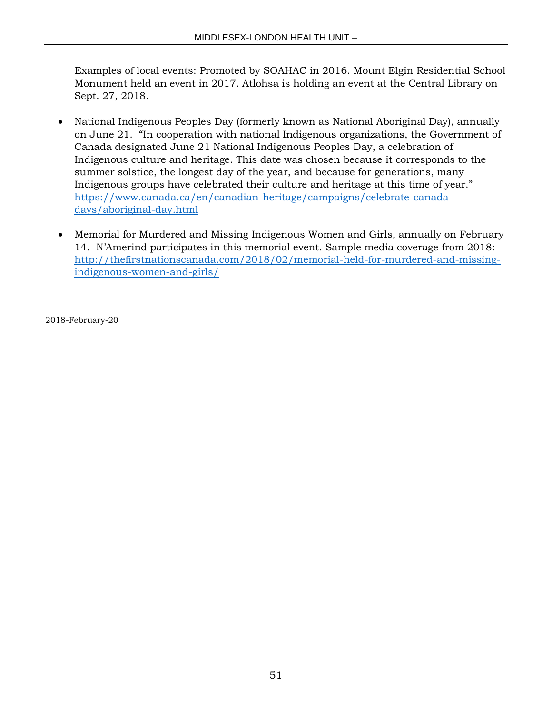Examples of local events: Promoted by SOAHAC in 2016. Mount Elgin Residential School Monument held an event in 2017. Atlohsa is holding an event at the Central Library on Sept. 27, 2018.

- National Indigenous Peoples Day (formerly known as National Aboriginal Day), annually on June 21. "In cooperation with national Indigenous organizations, the Government of Canada designated June 21 National Indigenous Peoples Day, a celebration of Indigenous culture and heritage. This date was chosen because it corresponds to the summer solstice, the longest day of the year, and because for generations, many Indigenous groups have celebrated their culture and heritage at this time of year." [https://www.canada.ca/en/canadian-heritage/campaigns/celebrate-canada](https://www.canada.ca/en/canadian-heritage/campaigns/celebrate-canada-days/aboriginal-day.html)[days/aboriginal-day.html](https://www.canada.ca/en/canadian-heritage/campaigns/celebrate-canada-days/aboriginal-day.html)
- Memorial for Murdered and Missing Indigenous Women and Girls, annually on February 14. N'Amerind participates in this memorial event. Sample media coverage from 2018: [http://thefirstnationscanada.com/2018/02/memorial-held-for-murdered-and-missing](http://thefirstnationscanada.com/2018/02/memorial-held-for-murdered-and-missing-indigenous-women-and-girls/)[indigenous-women-and-girls/](http://thefirstnationscanada.com/2018/02/memorial-held-for-murdered-and-missing-indigenous-women-and-girls/)

2018-February-20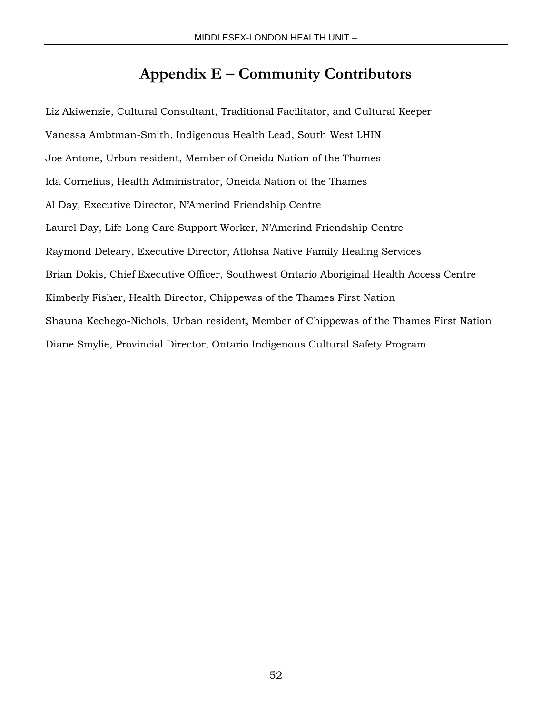## **Appendix E – Community Contributors**

Liz Akiwenzie, Cultural Consultant, Traditional Facilitator, and Cultural Keeper Vanessa Ambtman-Smith, Indigenous Health Lead, South West LHIN Joe Antone, Urban resident, Member of Oneida Nation of the Thames Ida Cornelius, Health Administrator, Oneida Nation of the Thames Al Day, Executive Director, N'Amerind Friendship Centre Laurel Day, Life Long Care Support Worker, N'Amerind Friendship Centre Raymond Deleary, Executive Director, Atlohsa Native Family Healing Services Brian Dokis, Chief Executive Officer, Southwest Ontario Aboriginal Health Access Centre Kimberly Fisher, Health Director, Chippewas of the Thames First Nation Shauna Kechego-Nichols, Urban resident, Member of Chippewas of the Thames First Nation Diane Smylie, Provincial Director, Ontario Indigenous Cultural Safety Program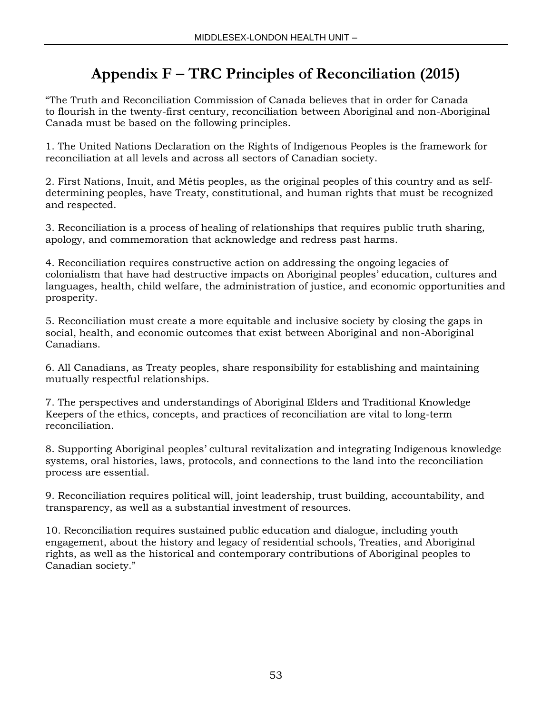## **Appendix F – TRC Principles of Reconciliation (2015)**

"The Truth and Reconciliation Commission of Canada believes that in order for Canada to flourish in the twenty-first century, reconciliation between Aboriginal and non-Aboriginal Canada must be based on the following principles.

1. The United Nations Declaration on the Rights of Indigenous Peoples is the framework for reconciliation at all levels and across all sectors of Canadian society.

2. First Nations, Inuit, and Métis peoples, as the original peoples of this country and as selfdetermining peoples, have Treaty, constitutional, and human rights that must be recognized and respected.

3. Reconciliation is a process of healing of relationships that requires public truth sharing, apology, and commemoration that acknowledge and redress past harms.

4. Reconciliation requires constructive action on addressing the ongoing legacies of colonialism that have had destructive impacts on Aboriginal peoples' education, cultures and languages, health, child welfare, the administration of justice, and economic opportunities and prosperity.

5. Reconciliation must create a more equitable and inclusive society by closing the gaps in social, health, and economic outcomes that exist between Aboriginal and non-Aboriginal Canadians.

6. All Canadians, as Treaty peoples, share responsibility for establishing and maintaining mutually respectful relationships.

7. The perspectives and understandings of Aboriginal Elders and Traditional Knowledge Keepers of the ethics, concepts, and practices of reconciliation are vital to long-term reconciliation.

8. Supporting Aboriginal peoples' cultural revitalization and integrating Indigenous knowledge systems, oral histories, laws, protocols, and connections to the land into the reconciliation process are essential.

9. Reconciliation requires political will, joint leadership, trust building, accountability, and transparency, as well as a substantial investment of resources.

10. Reconciliation requires sustained public education and dialogue, including youth engagement, about the history and legacy of residential schools, Treaties, and Aboriginal rights, as well as the historical and contemporary contributions of Aboriginal peoples to Canadian society."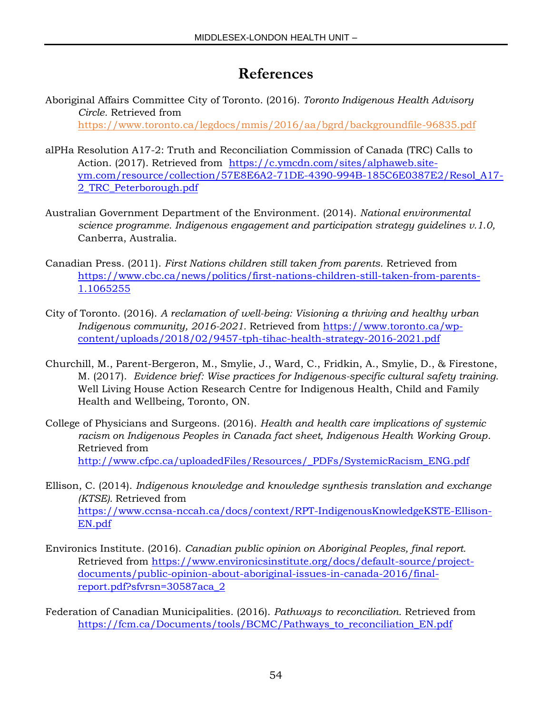## **References**

- Aboriginal Affairs Committee City of Toronto. (2016). *Toronto Indigenous Health Advisory Circle.* Retrieved from <https://www.toronto.ca/legdocs/mmis/2016/aa/bgrd/backgroundfile-96835.pdf>
- alPHa Resolution A17-2: Truth and Reconciliation Commission of Canada (TRC) Calls to Action. (2017). Retrieved from [https://c.ymcdn.com/sites/alphaweb.site](https://c.ymcdn.com/sites/alphaweb.site-ym.com/resource/collection/57E8E6A2-71DE-4390-994B-185C6E0387E2/Resol_A17-2_TRC_Peterborough.pdf)[ym.com/resource/collection/57E8E6A2-71DE-4390-994B-185C6E0387E2/Resol\\_A17-](https://c.ymcdn.com/sites/alphaweb.site-ym.com/resource/collection/57E8E6A2-71DE-4390-994B-185C6E0387E2/Resol_A17-2_TRC_Peterborough.pdf) [2\\_TRC\\_Peterborough.pdf](https://c.ymcdn.com/sites/alphaweb.site-ym.com/resource/collection/57E8E6A2-71DE-4390-994B-185C6E0387E2/Resol_A17-2_TRC_Peterborough.pdf)
- Australian Government Department of the Environment. (2014). *National environmental science programme. Indigenous engagement and participation strategy guidelines v.1.0,*  Canberra, Australia.
- Canadian Press. (2011). *First Nations children still taken from parents.* Retrieved from [https://www.cbc.ca/news/politics/first-nations-children-still-taken-from-parents-](https://www.cbc.ca/news/politics/first-nations-children-still-taken-from-parents-1.1065255)[1.1065255](https://www.cbc.ca/news/politics/first-nations-children-still-taken-from-parents-1.1065255)
- City of Toronto. (2016). *A reclamation of well-being: Visioning a thriving and healthy urban Indigenous community, 2016-2021.* Retrieved from [https://www.toronto.ca/wp](https://www.toronto.ca/wp-content/uploads/2018/02/9457-tph-tihac-health-strategy-2016-2021.pdf)[content/uploads/2018/02/9457-tph-tihac-health-strategy-2016-2021.pdf](https://www.toronto.ca/wp-content/uploads/2018/02/9457-tph-tihac-health-strategy-2016-2021.pdf)
- Churchill, M., Parent-Bergeron, M., Smylie, J., Ward, C., Fridkin, A., Smylie, D., & Firestone, M. (2017). *Evidence brief: Wise practices for Indigenous-specific cultural safety training.* Well Living House Action Research Centre for Indigenous Health, Child and Family Health and Wellbeing, Toronto, ON.
- College of Physicians and Surgeons. (2016). *Health and health care implications of systemic racism on Indigenous Peoples in Canada fact sheet, Indigenous Health Working Group*. Retrieved from [http://www.cfpc.ca/uploadedFiles/Resources/\\_PDFs/SystemicRacism\\_ENG.pdf](http://www.cfpc.ca/uploadedFiles/Resources/_PDFs/SystemicRacism_ENG.pdf)
- Ellison, C. (2014). *Indigenous knowledge and knowledge synthesis translation and exchange (KTSE).* Retrieved from [https://www.ccnsa-nccah.ca/docs/context/RPT-IndigenousKnowledgeKSTE-Ellison-](https://www.ccnsa-nccah.ca/docs/context/RPT-IndigenousKnowledgeKSTE-Ellison-EN.pdf)[EN.pdf](https://www.ccnsa-nccah.ca/docs/context/RPT-IndigenousKnowledgeKSTE-Ellison-EN.pdf)
- Environics Institute. (2016). *Canadian public opinion on Aboriginal Peoples, final report.*  Retrieved from [https://www.environicsinstitute.org/docs/default-source/project](https://www.environicsinstitute.org/docs/default-source/project-documents/public-opinion-about-aboriginal-issues-in-canada-2016/final-report.pdf?sfvrsn=30587aca_2)[documents/public-opinion-about-aboriginal-issues-in-canada-2016/final](https://www.environicsinstitute.org/docs/default-source/project-documents/public-opinion-about-aboriginal-issues-in-canada-2016/final-report.pdf?sfvrsn=30587aca_2)[report.pdf?sfvrsn=30587aca\\_2](https://www.environicsinstitute.org/docs/default-source/project-documents/public-opinion-about-aboriginal-issues-in-canada-2016/final-report.pdf?sfvrsn=30587aca_2)
- Federation of Canadian Municipalities. (2016). *Pathways to reconciliation.* Retrieved from [https://fcm.ca/Documents/tools/BCMC/Pathways\\_to\\_reconciliation\\_EN.pdf](https://fcm.ca/Documents/tools/BCMC/Pathways_to_reconciliation_EN.pdf)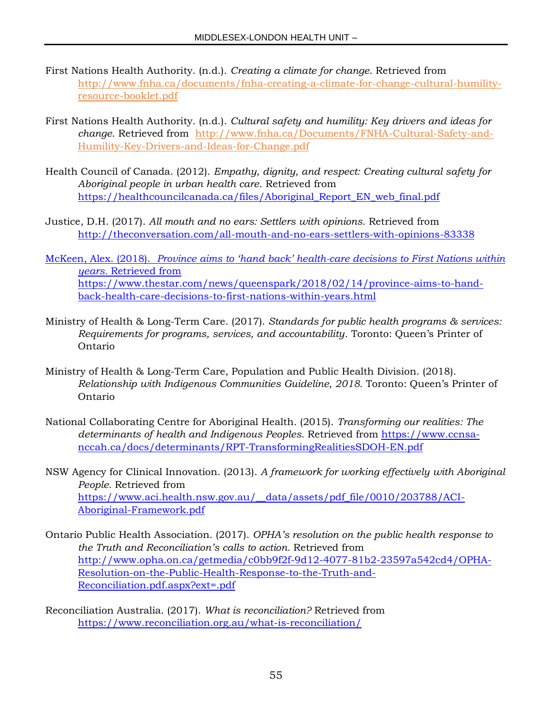- First Nations Health Authority. (n.d.). *Creating a climate for change*. Retrieved from [http://www.fnha.ca/documents/fnha-creating-a-climate-for-change-cultural-humility](http://www.fnha.ca/documents/fnha-creating-a-climate-for-change-cultural-humility-resource-booklet.pdf)[resource-booklet.pdf](http://www.fnha.ca/documents/fnha-creating-a-climate-for-change-cultural-humility-resource-booklet.pdf)
- First Nations Health Authority. (n.d.). *Cultural safety and humility: Key drivers and ideas for change*. Retrieved from [http://www.fnha.ca/Documents/FNHA-Cultural-Safety-and-](http://www.fnha.ca/Documents/FNHA-Cultural-Safety-and-Humility-Key-Drivers-and-Ideas-for-Change.pdf)[Humility-Key-Drivers-and-Ideas-for-Change.pdf](http://www.fnha.ca/Documents/FNHA-Cultural-Safety-and-Humility-Key-Drivers-and-Ideas-for-Change.pdf)
- Health Council of Canada. (2012). *Empathy, dignity, and respect: Creating cultural safety for Aboriginal people in urban health care*. Retrieved from [https://healthcouncilcanada.ca/files/Aboriginal\\_Report\\_EN\\_web\\_final.pdf](https://healthcouncilcanada.ca/files/Aboriginal_Report_EN_web_final.pdf)
- Justice, D.H. (2017). *All mouth and no ears: Settlers with opinions.* Retrieved from <http://theconversation.com/all-mouth-and-no-ears-settlers-with-opinions-83338>
- McKeen, Alex. (2018). *Province aims to 'hand back' health-care decisions to First Nations within years.* Retrieved from [https://www.thestar.com/news/queenspark/2018/02/14/province-aims-to-hand](https://www.thestar.com/news/queenspark/2018/02/14/province-aims-to-hand-back-health-care-decisions-to-first-nations-within-years.html)[back-health-care-decisions-to-first-nations-within-years.html](https://www.thestar.com/news/queenspark/2018/02/14/province-aims-to-hand-back-health-care-decisions-to-first-nations-within-years.html)
- Ministry of Health & Long-Term Care. (2017). *Standards for public health programs & services: Requirements for programs, services, and accountability*. Toronto: Queen's Printer of Ontario
- Ministry of Health & Long-Term Care, Population and Public Health Division. (2018). *Relationship with Indigenous Communities Guideline, 2018.* Toronto: Queen's Printer of Ontario
- National Collaborating Centre for Aboriginal Health. (2015). *Transforming our realities: The determinants of health and Indigenous Peoples.* Retrieved from [https://www.ccnsa](https://www.ccnsa-nccah.ca/docs/determinants/RPT-TransformingRealitiesSDOH-EN.pdf)[nccah.ca/docs/determinants/RPT-TransformingRealitiesSDOH-EN.pdf](https://www.ccnsa-nccah.ca/docs/determinants/RPT-TransformingRealitiesSDOH-EN.pdf)
- NSW Agency for Clinical Innovation. (2013). *A framework for working effectively with Aboriginal People.* Retrieved from [https://www.aci.health.nsw.gov.au/\\_\\_data/assets/pdf\\_file/0010/203788/ACI-](https://www.aci.health.nsw.gov.au/__data/assets/pdf_file/0010/203788/ACI-Aboriginal-Framework.pdf)[Aboriginal-Framework.pdf](https://www.aci.health.nsw.gov.au/__data/assets/pdf_file/0010/203788/ACI-Aboriginal-Framework.pdf)
- Ontario Public Health Association. (2017). *OPHA's resolution on the public health response to the Truth and Reconciliation's calls to action.* Retrieved from [http://www.opha.on.ca/getmedia/c0bb9f2f-9d12-4077-81b2-23597a542cd4/OPHA-](http://www.opha.on.ca/getmedia/c0bb9f2f-9d12-4077-81b2-23597a542cd4/OPHA-Resolution-on-the-Public-Health-Response-to-the-Truth-and-Reconciliation.pdf.aspx?ext=.pdf)[Resolution-on-the-Public-Health-Response-to-the-Truth-and-](http://www.opha.on.ca/getmedia/c0bb9f2f-9d12-4077-81b2-23597a542cd4/OPHA-Resolution-on-the-Public-Health-Response-to-the-Truth-and-Reconciliation.pdf.aspx?ext=.pdf)[Reconciliation.pdf.aspx?ext=.pdf](http://www.opha.on.ca/getmedia/c0bb9f2f-9d12-4077-81b2-23597a542cd4/OPHA-Resolution-on-the-Public-Health-Response-to-the-Truth-and-Reconciliation.pdf.aspx?ext=.pdf)
- Reconciliation Australia. (2017). *What is reconciliation?* Retrieved from <https://www.reconciliation.org.au/what-is-reconciliation/>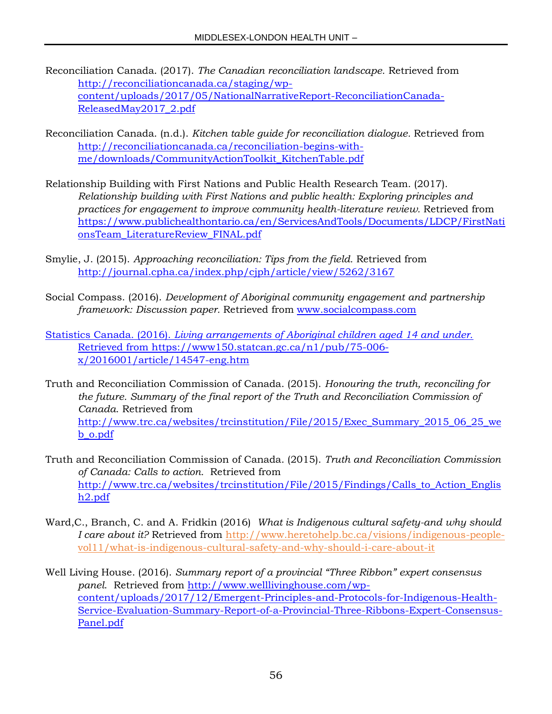- Reconciliation Canada. (2017). *The Canadian reconciliation landscape.* Retrieved from [http://reconciliationcanada.ca/staging/wp](http://reconciliationcanada.ca/staging/wp-content/uploads/2017/05/NationalNarrativeReport-ReconciliationCanada-ReleasedMay2017_2.pdf)[content/uploads/2017/05/NationalNarrativeReport-ReconciliationCanada-](http://reconciliationcanada.ca/staging/wp-content/uploads/2017/05/NationalNarrativeReport-ReconciliationCanada-ReleasedMay2017_2.pdf)[ReleasedMay2017\\_2.pdf](http://reconciliationcanada.ca/staging/wp-content/uploads/2017/05/NationalNarrativeReport-ReconciliationCanada-ReleasedMay2017_2.pdf)
- Reconciliation Canada. (n.d.). *Kitchen table guide for reconciliation dialogue.* Retrieved from [http://reconciliationcanada.ca/reconciliation-begins-with](http://reconciliationcanada.ca/reconciliation-begins-with-me/downloads/CommunityActionToolkit_KitchenTable.pdf)[me/downloads/CommunityActionToolkit\\_KitchenTable.pdf](http://reconciliationcanada.ca/reconciliation-begins-with-me/downloads/CommunityActionToolkit_KitchenTable.pdf)
- Relationship Building with First Nations and Public Health Research Team. (2017). *Relationship building with First Nations and public health: Exploring principles and practices for engagement to improve community health-literature review.* Retrieved from [https://www.publichealthontario.ca/en/ServicesAndTools/Documents/LDCP/FirstNati](https://www.publichealthontario.ca/en/ServicesAndTools/Documents/LDCP/FirstNationsTeam_LiteratureReview_FINAL.pdf) [onsTeam\\_LiteratureReview\\_FINAL.pdf](https://www.publichealthontario.ca/en/ServicesAndTools/Documents/LDCP/FirstNationsTeam_LiteratureReview_FINAL.pdf)
- Smylie, J. (2015). *Approaching reconciliation: Tips from the field.* Retrieved from <http://journal.cpha.ca/index.php/cjph/article/view/5262/3167>
- Social Compass. (2016). *Development of Aboriginal community engagement and partnership framework: Discussion paper.* Retrieved from [www.socialcompass.com](http://www.socialcompass.com/)

Statistics Canada. (2016). *Living arrangements of Aboriginal children aged 14 and under.*  Retrieved from [https://www150.statcan.gc.ca/n1/pub/75-006](https://www150.statcan.gc.ca/n1/pub/75-006-x/2016001/article/14547-eng.htm) [x/2016001/article/14547-eng.htm](https://www150.statcan.gc.ca/n1/pub/75-006-x/2016001/article/14547-eng.htm)

- Truth and Reconciliation Commission of Canada. (2015). *Honouring the truth, reconciling for the future. Summary of the final report of the Truth and Reconciliation Commission of Canada*. Retrieved from [http://www.trc.ca/websites/trcinstitution/File/2015/Exec\\_Summary\\_2015\\_06\\_25\\_we](http://www.trc.ca/websites/trcinstitution/File/2015/Exec_Summary_2015_06_25_web_o.pdf) [b\\_o.pdf](http://www.trc.ca/websites/trcinstitution/File/2015/Exec_Summary_2015_06_25_web_o.pdf)
- Truth and Reconciliation Commission of Canada. (2015). *Truth and Reconciliation Commission of Canada: Calls to action.* Retrieved from [http://www.trc.ca/websites/trcinstitution/File/2015/Findings/Calls\\_to\\_Action\\_Englis](http://www.trc.ca/websites/trcinstitution/File/2015/Findings/Calls_to_Action_English2.pdf) [h2.pdf](http://www.trc.ca/websites/trcinstitution/File/2015/Findings/Calls_to_Action_English2.pdf)
- Ward,C., Branch, C. and A. Fridkin (2016) *What is Indigenous cultural safety-and why should I care about it?* Retrieved from [http://www.heretohelp.bc.ca/visions/indigenous-people](http://www.heretohelp.bc.ca/visions/indigenous-people-vol11/what-is-indigenous-cultural-safety-and-why-should-i-care-about-it)[vol11/what-is-indigenous-cultural-safety-and-why-should-i-care-about-it](http://www.heretohelp.bc.ca/visions/indigenous-people-vol11/what-is-indigenous-cultural-safety-and-why-should-i-care-about-it)
- Well Living House. (2016). *Summary report of a provincial "Three Ribbon" expert consensus panel*. Retrieved from [http://www.welllivinghouse.com/wp](http://www.welllivinghouse.com/wp-content/uploads/2017/12/Emergent-Principles-and-Protocols-for-Indigenous-Health-Service-Evaluation-Summary-Report-of-a-Provincial-Three-Ribbons-Expert-Consensus-Panel.pdf)[content/uploads/2017/12/Emergent-Principles-and-Protocols-for-Indigenous-Health-](http://www.welllivinghouse.com/wp-content/uploads/2017/12/Emergent-Principles-and-Protocols-for-Indigenous-Health-Service-Evaluation-Summary-Report-of-a-Provincial-Three-Ribbons-Expert-Consensus-Panel.pdf)[Service-Evaluation-Summary-Report-of-a-Provincial-Three-Ribbons-Expert-Consensus-](http://www.welllivinghouse.com/wp-content/uploads/2017/12/Emergent-Principles-and-Protocols-for-Indigenous-Health-Service-Evaluation-Summary-Report-of-a-Provincial-Three-Ribbons-Expert-Consensus-Panel.pdf)[Panel.pdf](http://www.welllivinghouse.com/wp-content/uploads/2017/12/Emergent-Principles-and-Protocols-for-Indigenous-Health-Service-Evaluation-Summary-Report-of-a-Provincial-Three-Ribbons-Expert-Consensus-Panel.pdf)